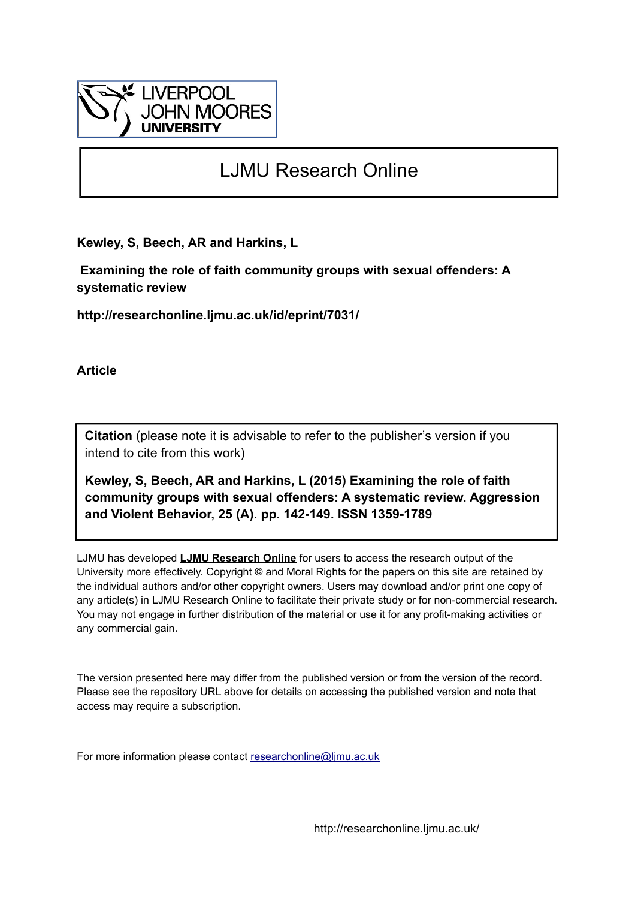

# LJMU Research Online

**Kewley, S, Beech, AR and Harkins, L**

 **Examining the role of faith community groups with sexual offenders: A systematic review**

**http://researchonline.ljmu.ac.uk/id/eprint/7031/**

**Article**

**Citation** (please note it is advisable to refer to the publisher's version if you intend to cite from this work)

**Kewley, S, Beech, AR and Harkins, L (2015) Examining the role of faith community groups with sexual offenders: A systematic review. Aggression and Violent Behavior, 25 (A). pp. 142-149. ISSN 1359-1789** 

LJMU has developed **[LJMU Research Online](http://researchonline.ljmu.ac.uk/)** for users to access the research output of the University more effectively. Copyright © and Moral Rights for the papers on this site are retained by the individual authors and/or other copyright owners. Users may download and/or print one copy of any article(s) in LJMU Research Online to facilitate their private study or for non-commercial research. You may not engage in further distribution of the material or use it for any profit-making activities or any commercial gain.

The version presented here may differ from the published version or from the version of the record. Please see the repository URL above for details on accessing the published version and note that access may require a subscription.

For more information please contact [researchonline@ljmu.ac.uk](mailto:researchonline@ljmu.ac.uk)

http://researchonline.ljmu.ac.uk/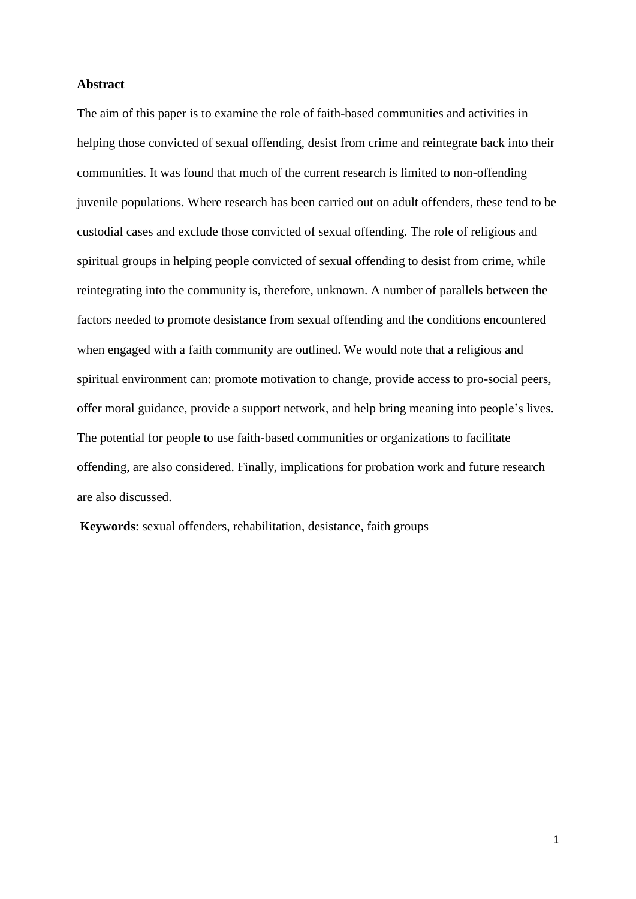### **Abstract**

The aim of this paper is to examine the role of faith-based communities and activities in helping those convicted of sexual offending, desist from crime and reintegrate back into their communities. It was found that much of the current research is limited to non-offending juvenile populations. Where research has been carried out on adult offenders, these tend to be custodial cases and exclude those convicted of sexual offending. The role of religious and spiritual groups in helping people convicted of sexual offending to desist from crime, while reintegrating into the community is, therefore, unknown. A number of parallels between the factors needed to promote desistance from sexual offending and the conditions encountered when engaged with a faith community are outlined. We would note that a religious and spiritual environment can: promote motivation to change, provide access to pro-social peers, offer moral guidance, provide a support network, and help bring meaning into people's lives. The potential for people to use faith-based communities or organizations to facilitate offending, are also considered. Finally, implications for probation work and future research are also discussed.

**Keywords**: sexual offenders, rehabilitation, desistance, faith groups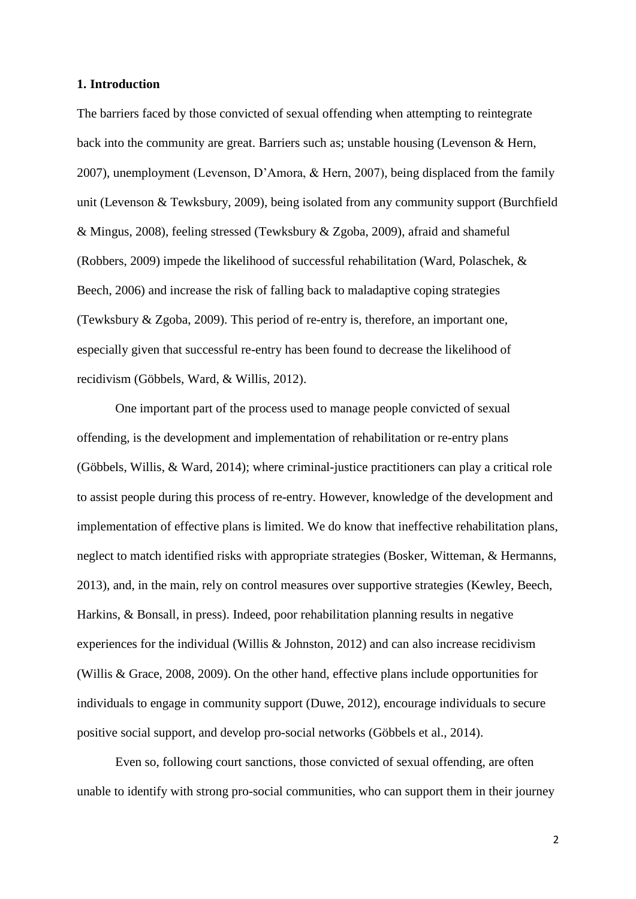#### **1. Introduction**

The barriers faced by those convicted of sexual offending when attempting to reintegrate back into the community are great. Barriers such as; unstable housing (Levenson & Hern, 2007), unemployment (Levenson, D'Amora, & Hern, 2007), being displaced from the family unit (Levenson & Tewksbury, 2009), being isolated from any community support (Burchfield & Mingus, 2008), feeling stressed (Tewksbury & Zgoba, 2009), afraid and shameful (Robbers, 2009) impede the likelihood of successful rehabilitation (Ward, Polaschek, & Beech, 2006) and increase the risk of falling back to maladaptive coping strategies (Tewksbury & Zgoba, 2009). This period of re-entry is, therefore, an important one, especially given that successful re-entry has been found to decrease the likelihood of recidivism (Göbbels, Ward, & Willis, 2012).

One important part of the process used to manage people convicted of sexual offending, is the development and implementation of rehabilitation or re-entry plans (Göbbels, Willis, & Ward, 2014); where criminal-justice practitioners can play a critical role to assist people during this process of re-entry. However, knowledge of the development and implementation of effective plans is limited. We do know that ineffective rehabilitation plans, neglect to match identified risks with appropriate strategies (Bosker, Witteman, & Hermanns, 2013), and, in the main, rely on control measures over supportive strategies (Kewley, Beech, Harkins, & Bonsall, in press). Indeed, poor rehabilitation planning results in negative experiences for the individual (Willis & Johnston, 2012) and can also increase recidivism (Willis & Grace, 2008, 2009). On the other hand, effective plans include opportunities for individuals to engage in community support (Duwe, 2012), encourage individuals to secure positive social support, and develop pro-social networks (Göbbels et al., 2014).

Even so, following court sanctions, those convicted of sexual offending, are often unable to identify with strong pro-social communities, who can support them in their journey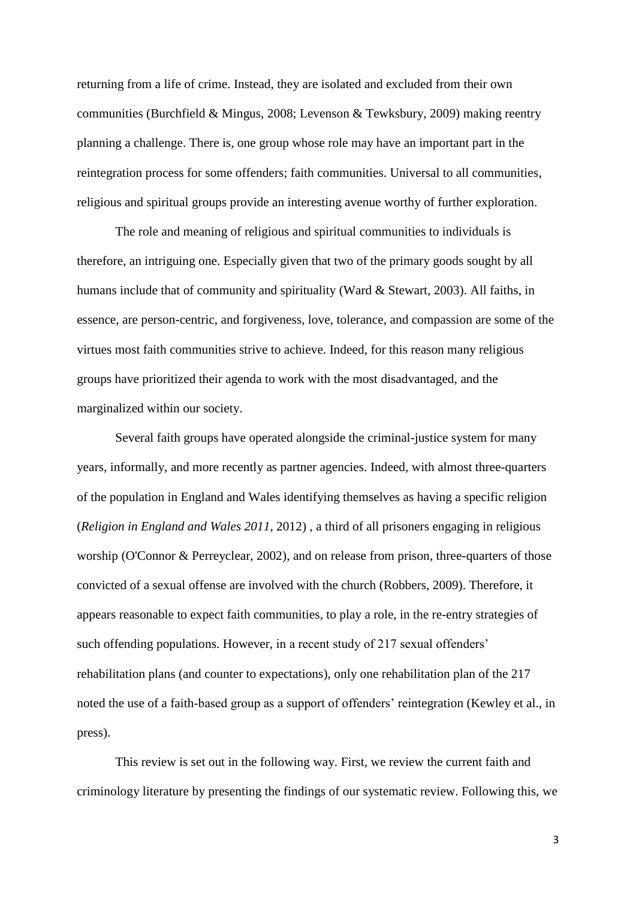returning from a life of crime. Instead, they are isolated and excluded from their own communities (Burchfield & Mingus, 2008; Levenson & Tewksbury, 2009) making reentry planning a challenge. There is, one group whose role may have an important part in the reintegration process for some offenders; faith communities. Universal to all communities, religious and spiritual groups provide an interesting avenue worthy of further exploration.

The role and meaning of religious and spiritual communities to individuals is therefore, an intriguing one. Especially given that two of the primary goods sought by all humans include that of community and spirituality (Ward & Stewart, 2003). All faiths, in essence, are person-centric, and forgiveness, love, tolerance, and compassion are some of the virtues most faith communities strive to achieve. Indeed, for this reason many religious groups have prioritized their agenda to work with the most disadvantaged, and the marginalized within our society.

Several faith groups have operated alongside the criminal-justice system for many years, informally, and more recently as partner agencies. Indeed, with almost three-quarters of the population in England and Wales identifying themselves as having a specific religion (*Religion in England and Wales 2011*, 2012) , a third of all prisoners engaging in religious worship (O'Connor & Perreyclear, 2002), and on release from prison, three-quarters of those convicted of a sexual offense are involved with the church (Robbers, 2009). Therefore, it appears reasonable to expect faith communities, to play a role, in the re-entry strategies of such offending populations. However, in a recent study of 217 sexual offenders' rehabilitation plans (and counter to expectations), only one rehabilitation plan of the 217 noted the use of a faith-based group as a support of offenders' reintegration (Kewley et al., in press).

This review is set out in the following way. First, we review the current faith and criminology literature by presenting the findings of our systematic review. Following this, we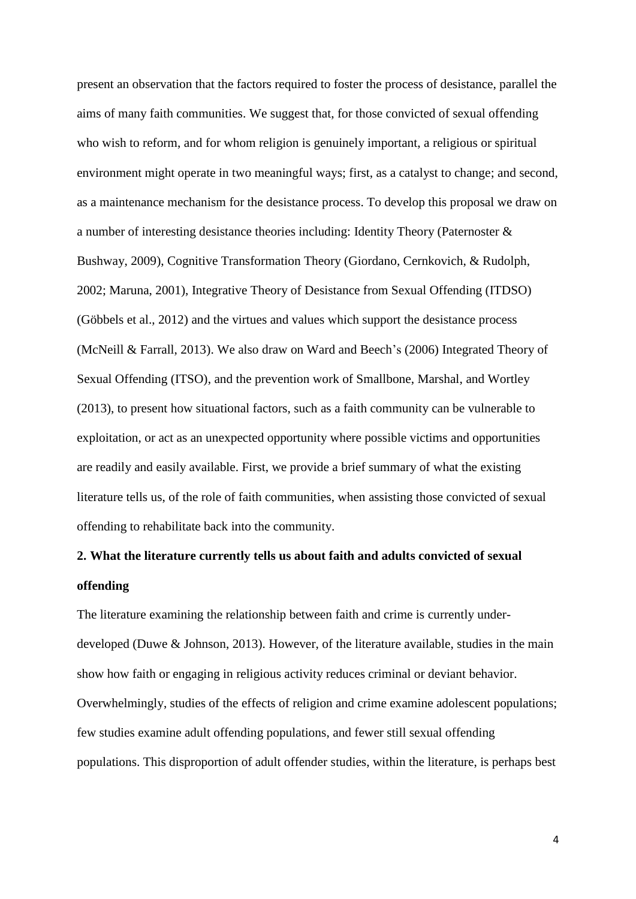present an observation that the factors required to foster the process of desistance, parallel the aims of many faith communities. We suggest that, for those convicted of sexual offending who wish to reform, and for whom religion is genuinely important, a religious or spiritual environment might operate in two meaningful ways; first, as a catalyst to change; and second, as a maintenance mechanism for the desistance process. To develop this proposal we draw on a number of interesting desistance theories including: Identity Theory (Paternoster & Bushway, 2009), Cognitive Transformation Theory (Giordano, Cernkovich, & Rudolph, 2002; Maruna, 2001), Integrative Theory of Desistance from Sexual Offending (ITDSO) (Göbbels et al., 2012) and the virtues and values which support the desistance process (McNeill & Farrall, 2013). We also draw on Ward and Beech's (2006) Integrated Theory of Sexual Offending (ITSO), and the prevention work of Smallbone, Marshal, and Wortley (2013), to present how situational factors, such as a faith community can be vulnerable to exploitation, or act as an unexpected opportunity where possible victims and opportunities are readily and easily available. First, we provide a brief summary of what the existing literature tells us, of the role of faith communities, when assisting those convicted of sexual offending to rehabilitate back into the community.

# **2. What the literature currently tells us about faith and adults convicted of sexual offending**

The literature examining the relationship between faith and crime is currently underdeveloped (Duwe & Johnson, 2013). However, of the literature available, studies in the main show how faith or engaging in religious activity reduces criminal or deviant behavior. Overwhelmingly, studies of the effects of religion and crime examine adolescent populations; few studies examine adult offending populations, and fewer still sexual offending populations. This disproportion of adult offender studies, within the literature, is perhaps best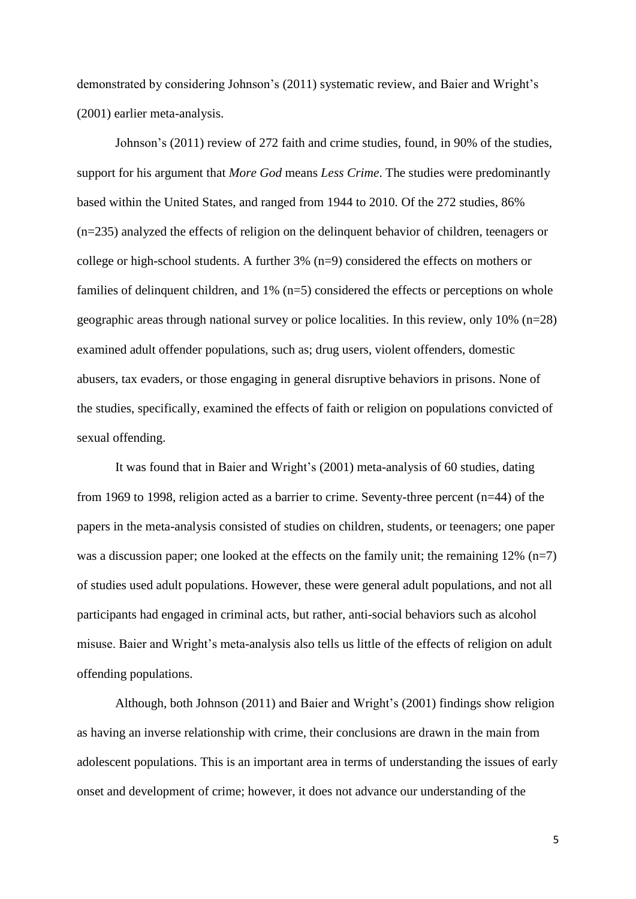demonstrated by considering Johnson's (2011) systematic review, and Baier and Wright's (2001) earlier meta-analysis.

Johnson's (2011) review of 272 faith and crime studies, found, in 90% of the studies, support for his argument that *More God* means *Less Crime*. The studies were predominantly based within the United States, and ranged from 1944 to 2010. Of the 272 studies, 86% (n=235) analyzed the effects of religion on the delinquent behavior of children, teenagers or college or high-school students. A further 3% (n=9) considered the effects on mothers or families of delinquent children, and 1% (n=5) considered the effects or perceptions on whole geographic areas through national survey or police localities. In this review, only 10% (n=28) examined adult offender populations, such as; drug users, violent offenders, domestic abusers, tax evaders, or those engaging in general disruptive behaviors in prisons. None of the studies, specifically, examined the effects of faith or religion on populations convicted of sexual offending.

It was found that in Baier and Wright's (2001) meta-analysis of 60 studies, dating from 1969 to 1998, religion acted as a barrier to crime. Seventy-three percent (n=44) of the papers in the meta-analysis consisted of studies on children, students, or teenagers; one paper was a discussion paper; one looked at the effects on the family unit; the remaining  $12\%$  (n=7) of studies used adult populations. However, these were general adult populations, and not all participants had engaged in criminal acts, but rather, anti-social behaviors such as alcohol misuse. Baier and Wright's meta-analysis also tells us little of the effects of religion on adult offending populations.

Although, both Johnson (2011) and Baier and Wright's (2001) findings show religion as having an inverse relationship with crime, their conclusions are drawn in the main from adolescent populations. This is an important area in terms of understanding the issues of early onset and development of crime; however, it does not advance our understanding of the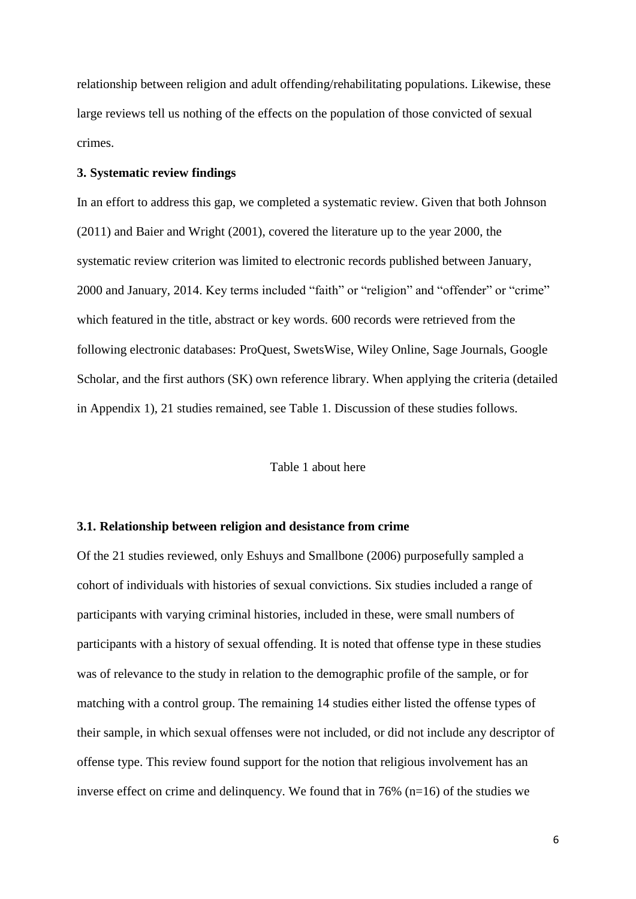relationship between religion and adult offending/rehabilitating populations. Likewise, these large reviews tell us nothing of the effects on the population of those convicted of sexual crimes.

### **3. Systematic review findings**

In an effort to address this gap, we completed a systematic review. Given that both Johnson (2011) and Baier and Wright (2001), covered the literature up to the year 2000, the systematic review criterion was limited to electronic records published between January, 2000 and January, 2014. Key terms included "faith" or "religion" and "offender" or "crime" which featured in the title, abstract or key words. 600 records were retrieved from the following electronic databases: ProQuest, SwetsWise, Wiley Online, Sage Journals, Google Scholar, and the first authors (SK) own reference library. When applying the criteria (detailed in Appendix 1), 21 studies remained, see Table 1. Discussion of these studies follows.

#### Table 1 about here

#### **3.1. Relationship between religion and desistance from crime**

Of the 21 studies reviewed, only Eshuys and Smallbone (2006) purposefully sampled a cohort of individuals with histories of sexual convictions. Six studies included a range of participants with varying criminal histories, included in these, were small numbers of participants with a history of sexual offending. It is noted that offense type in these studies was of relevance to the study in relation to the demographic profile of the sample, or for matching with a control group. The remaining 14 studies either listed the offense types of their sample, in which sexual offenses were not included, or did not include any descriptor of offense type. This review found support for the notion that religious involvement has an inverse effect on crime and delinquency. We found that in 76% (n=16) of the studies we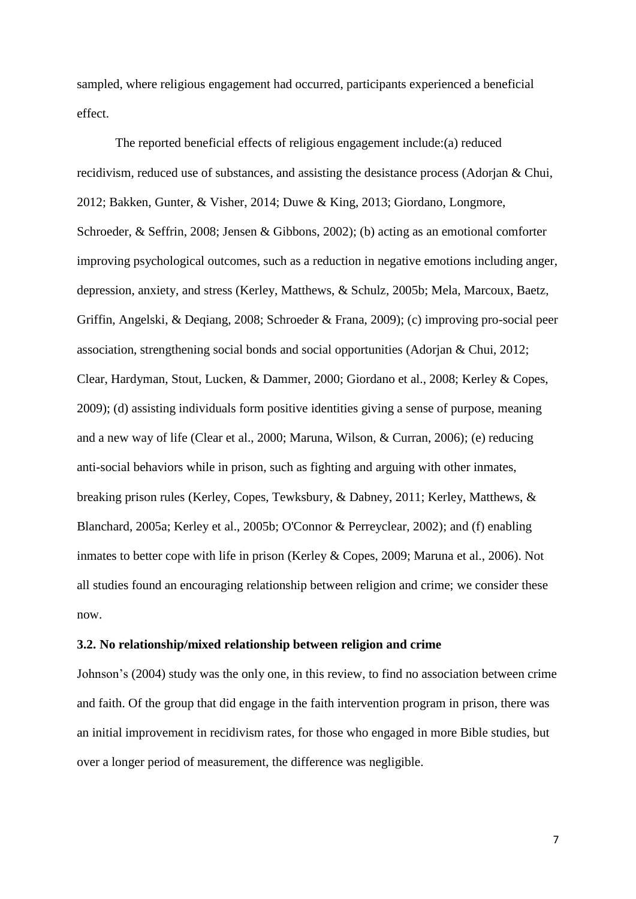sampled, where religious engagement had occurred, participants experienced a beneficial effect.

The reported beneficial effects of religious engagement include:(a) reduced recidivism, reduced use of substances, and assisting the desistance process (Adorjan & Chui, 2012; Bakken, Gunter, & Visher, 2014; Duwe & King, 2013; Giordano, Longmore, Schroeder, & Seffrin, 2008; Jensen & Gibbons, 2002); (b) acting as an emotional comforter improving psychological outcomes, such as a reduction in negative emotions including anger, depression, anxiety, and stress (Kerley, Matthews, & Schulz, 2005b; Mela, Marcoux, Baetz, Griffin, Angelski, & Deqiang, 2008; Schroeder & Frana, 2009); (c) improving pro-social peer association, strengthening social bonds and social opportunities (Adorjan & Chui, 2012; Clear, Hardyman, Stout, Lucken, & Dammer, 2000; Giordano et al., 2008; Kerley & Copes, 2009); (d) assisting individuals form positive identities giving a sense of purpose, meaning and a new way of life (Clear et al., 2000; Maruna, Wilson, & Curran, 2006); (e) reducing anti-social behaviors while in prison, such as fighting and arguing with other inmates, breaking prison rules (Kerley, Copes, Tewksbury, & Dabney, 2011; Kerley, Matthews, & Blanchard, 2005a; Kerley et al., 2005b; O'Connor & Perreyclear, 2002); and (f) enabling inmates to better cope with life in prison (Kerley & Copes, 2009; Maruna et al., 2006). Not all studies found an encouraging relationship between religion and crime; we consider these now.

### **3.2. No relationship/mixed relationship between religion and crime**

Johnson's (2004) study was the only one, in this review, to find no association between crime and faith. Of the group that did engage in the faith intervention program in prison, there was an initial improvement in recidivism rates, for those who engaged in more Bible studies, but over a longer period of measurement, the difference was negligible.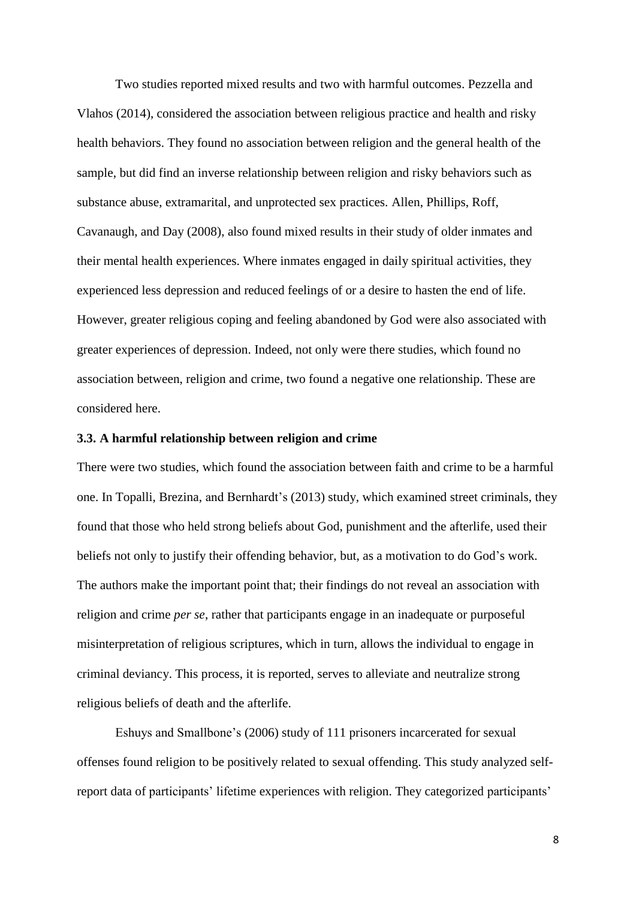Two studies reported mixed results and two with harmful outcomes. Pezzella and Vlahos (2014), considered the association between religious practice and health and risky health behaviors. They found no association between religion and the general health of the sample, but did find an inverse relationship between religion and risky behaviors such as substance abuse, extramarital, and unprotected sex practices. Allen, Phillips, Roff, Cavanaugh, and Day (2008), also found mixed results in their study of older inmates and their mental health experiences. Where inmates engaged in daily spiritual activities, they experienced less depression and reduced feelings of or a desire to hasten the end of life. However, greater religious coping and feeling abandoned by God were also associated with greater experiences of depression. Indeed, not only were there studies, which found no association between, religion and crime, two found a negative one relationship. These are considered here.

# **3.3. A harmful relationship between religion and crime**

There were two studies, which found the association between faith and crime to be a harmful one. In Topalli, Brezina, and Bernhardt's (2013) study, which examined street criminals, they found that those who held strong beliefs about God, punishment and the afterlife, used their beliefs not only to justify their offending behavior, but, as a motivation to do God's work. The authors make the important point that; their findings do not reveal an association with religion and crime *per se*, rather that participants engage in an inadequate or purposeful misinterpretation of religious scriptures, which in turn, allows the individual to engage in criminal deviancy. This process, it is reported, serves to alleviate and neutralize strong religious beliefs of death and the afterlife.

Eshuys and Smallbone's (2006) study of 111 prisoners incarcerated for sexual offenses found religion to be positively related to sexual offending. This study analyzed selfreport data of participants' lifetime experiences with religion. They categorized participants'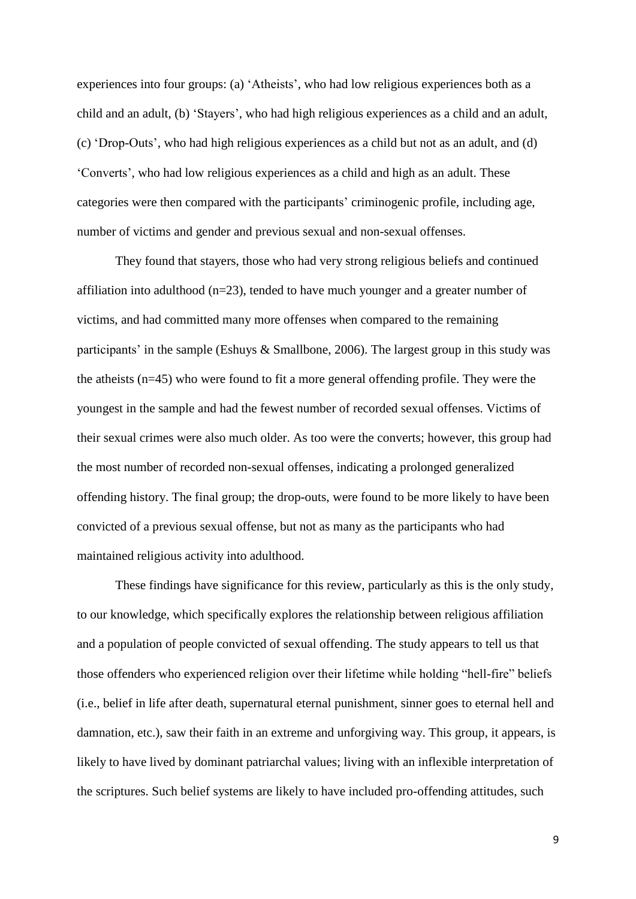experiences into four groups: (a) 'Atheists', who had low religious experiences both as a child and an adult, (b) 'Stayers', who had high religious experiences as a child and an adult, (c) 'Drop-Outs', who had high religious experiences as a child but not as an adult, and (d) 'Converts', who had low religious experiences as a child and high as an adult. These categories were then compared with the participants' criminogenic profile, including age, number of victims and gender and previous sexual and non-sexual offenses.

They found that stayers, those who had very strong religious beliefs and continued affiliation into adulthood (n=23), tended to have much younger and a greater number of victims, and had committed many more offenses when compared to the remaining participants' in the sample (Eshuys & Smallbone, 2006). The largest group in this study was the atheists (n=45) who were found to fit a more general offending profile. They were the youngest in the sample and had the fewest number of recorded sexual offenses. Victims of their sexual crimes were also much older. As too were the converts; however, this group had the most number of recorded non-sexual offenses, indicating a prolonged generalized offending history. The final group; the drop-outs, were found to be more likely to have been convicted of a previous sexual offense, but not as many as the participants who had maintained religious activity into adulthood.

These findings have significance for this review, particularly as this is the only study, to our knowledge, which specifically explores the relationship between religious affiliation and a population of people convicted of sexual offending. The study appears to tell us that those offenders who experienced religion over their lifetime while holding "hell-fire" beliefs (i.e., belief in life after death, supernatural eternal punishment, sinner goes to eternal hell and damnation, etc.), saw their faith in an extreme and unforgiving way. This group, it appears, is likely to have lived by dominant patriarchal values; living with an inflexible interpretation of the scriptures. Such belief systems are likely to have included pro-offending attitudes, such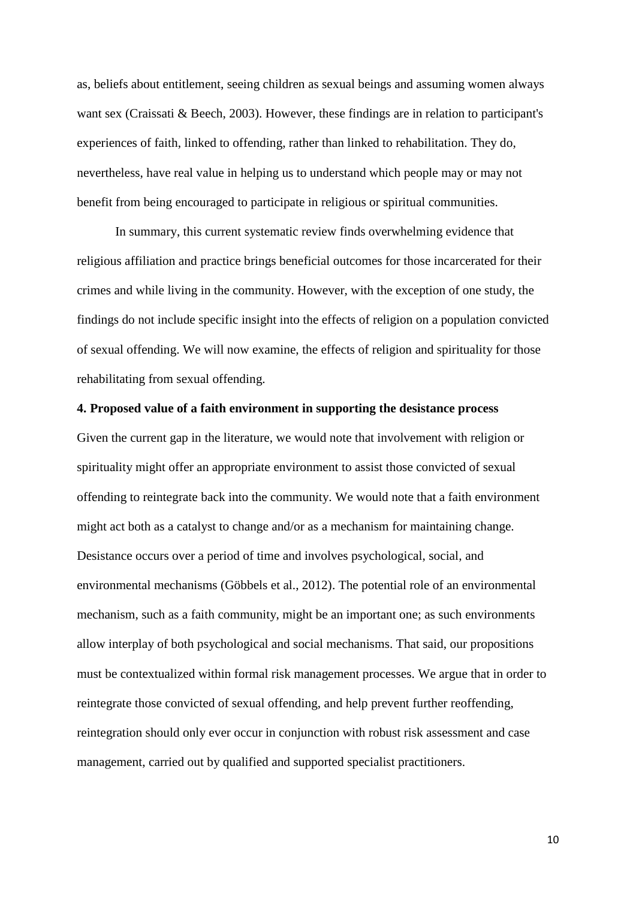as, beliefs about entitlement, seeing children as sexual beings and assuming women always want sex (Craissati & Beech, 2003). However, these findings are in relation to participant's experiences of faith, linked to offending, rather than linked to rehabilitation. They do, nevertheless, have real value in helping us to understand which people may or may not benefit from being encouraged to participate in religious or spiritual communities.

In summary, this current systematic review finds overwhelming evidence that religious affiliation and practice brings beneficial outcomes for those incarcerated for their crimes and while living in the community. However, with the exception of one study, the findings do not include specific insight into the effects of religion on a population convicted of sexual offending. We will now examine, the effects of religion and spirituality for those rehabilitating from sexual offending.

### **4. Proposed value of a faith environment in supporting the desistance process**

Given the current gap in the literature, we would note that involvement with religion or spirituality might offer an appropriate environment to assist those convicted of sexual offending to reintegrate back into the community. We would note that a faith environment might act both as a catalyst to change and/or as a mechanism for maintaining change. Desistance occurs over a period of time and involves psychological, social, and environmental mechanisms (Göbbels et al., 2012). The potential role of an environmental mechanism, such as a faith community, might be an important one; as such environments allow interplay of both psychological and social mechanisms. That said, our propositions must be contextualized within formal risk management processes. We argue that in order to reintegrate those convicted of sexual offending, and help prevent further reoffending, reintegration should only ever occur in conjunction with robust risk assessment and case management, carried out by qualified and supported specialist practitioners.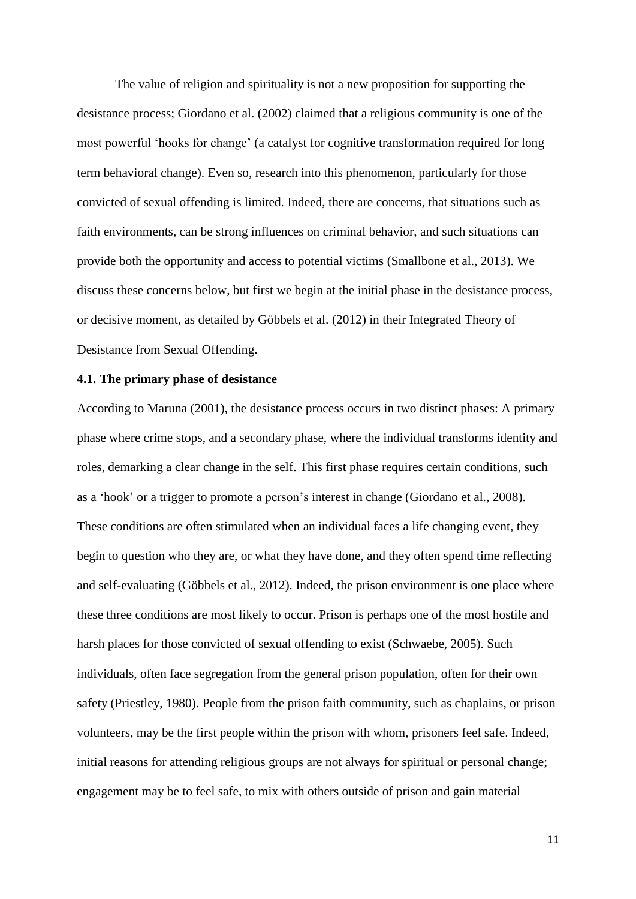The value of religion and spirituality is not a new proposition for supporting the desistance process; Giordano et al. (2002) claimed that a religious community is one of the most powerful 'hooks for change' (a catalyst for cognitive transformation required for long term behavioral change). Even so, research into this phenomenon, particularly for those convicted of sexual offending is limited. Indeed, there are concerns, that situations such as faith environments, can be strong influences on criminal behavior, and such situations can provide both the opportunity and access to potential victims (Smallbone et al., 2013). We discuss these concerns below, but first we begin at the initial phase in the desistance process, or decisive moment, as detailed by Göbbels et al. (2012) in their Integrated Theory of Desistance from Sexual Offending.

# **4.1. The primary phase of desistance**

According to Maruna (2001), the desistance process occurs in two distinct phases: A primary phase where crime stops, and a secondary phase, where the individual transforms identity and roles, demarking a clear change in the self. This first phase requires certain conditions, such as a 'hook' or a trigger to promote a person's interest in change (Giordano et al., 2008). These conditions are often stimulated when an individual faces a life changing event, they begin to question who they are, or what they have done, and they often spend time reflecting and self-evaluating (Göbbels et al., 2012). Indeed, the prison environment is one place where these three conditions are most likely to occur. Prison is perhaps one of the most hostile and harsh places for those convicted of sexual offending to exist (Schwaebe, 2005). Such individuals, often face segregation from the general prison population, often for their own safety (Priestley, 1980). People from the prison faith community, such as chaplains, or prison volunteers, may be the first people within the prison with whom, prisoners feel safe. Indeed, initial reasons for attending religious groups are not always for spiritual or personal change; engagement may be to feel safe, to mix with others outside of prison and gain material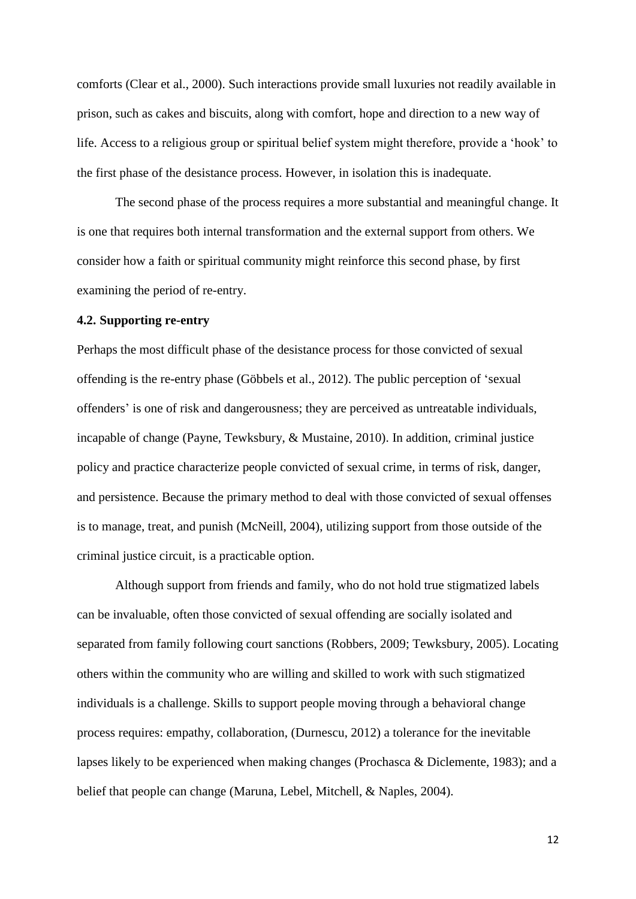comforts (Clear et al., 2000). Such interactions provide small luxuries not readily available in prison, such as cakes and biscuits, along with comfort, hope and direction to a new way of life. Access to a religious group or spiritual belief system might therefore, provide a 'hook' to the first phase of the desistance process. However, in isolation this is inadequate.

The second phase of the process requires a more substantial and meaningful change. It is one that requires both internal transformation and the external support from others. We consider how a faith or spiritual community might reinforce this second phase, by first examining the period of re-entry.

# **4.2. Supporting re-entry**

Perhaps the most difficult phase of the desistance process for those convicted of sexual offending is the re-entry phase (Göbbels et al., 2012). The public perception of 'sexual offenders' is one of risk and dangerousness; they are perceived as untreatable individuals, incapable of change (Payne, Tewksbury, & Mustaine, 2010). In addition, criminal justice policy and practice characterize people convicted of sexual crime, in terms of risk, danger, and persistence. Because the primary method to deal with those convicted of sexual offenses is to manage, treat, and punish (McNeill, 2004), utilizing support from those outside of the criminal justice circuit, is a practicable option.

Although support from friends and family, who do not hold true stigmatized labels can be invaluable, often those convicted of sexual offending are socially isolated and separated from family following court sanctions (Robbers, 2009; Tewksbury, 2005). Locating others within the community who are willing and skilled to work with such stigmatized individuals is a challenge. Skills to support people moving through a behavioral change process requires: empathy, collaboration, (Durnescu, 2012) a tolerance for the inevitable lapses likely to be experienced when making changes (Prochasca & Diclemente, 1983); and a belief that people can change (Maruna, Lebel, Mitchell, & Naples, 2004).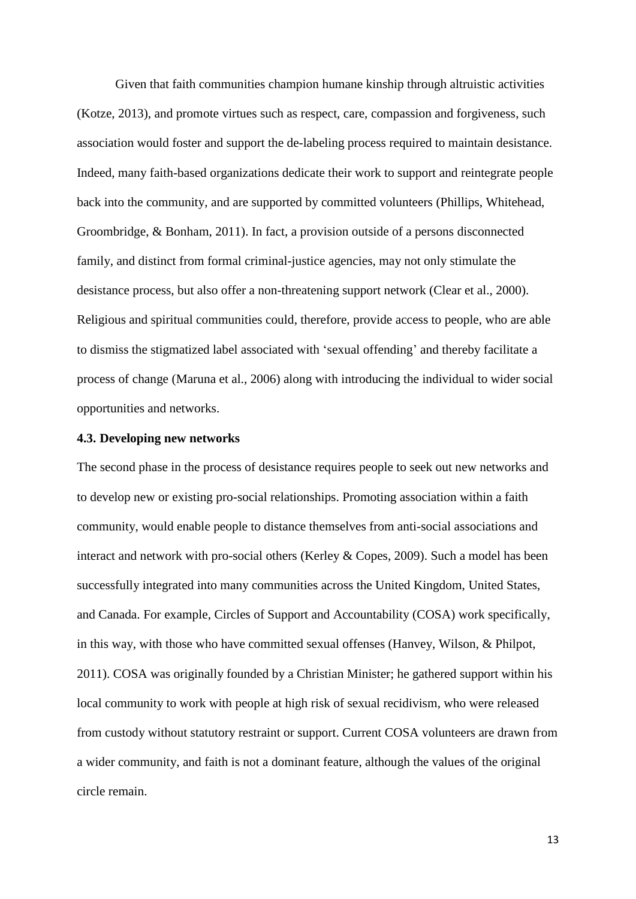Given that faith communities champion humane kinship through altruistic activities (Kotze, 2013), and promote virtues such as respect, care, compassion and forgiveness, such association would foster and support the de-labeling process required to maintain desistance. Indeed, many faith-based organizations dedicate their work to support and reintegrate people back into the community, and are supported by committed volunteers (Phillips, Whitehead, Groombridge, & Bonham, 2011). In fact, a provision outside of a persons disconnected family, and distinct from formal criminal-justice agencies, may not only stimulate the desistance process, but also offer a non-threatening support network (Clear et al., 2000). Religious and spiritual communities could, therefore, provide access to people, who are able to dismiss the stigmatized label associated with 'sexual offending' and thereby facilitate a process of change (Maruna et al., 2006) along with introducing the individual to wider social opportunities and networks.

# **4.3. Developing new networks**

The second phase in the process of desistance requires people to seek out new networks and to develop new or existing pro-social relationships. Promoting association within a faith community, would enable people to distance themselves from anti-social associations and interact and network with pro-social others (Kerley & Copes, 2009). Such a model has been successfully integrated into many communities across the United Kingdom, United States, and Canada. For example, Circles of Support and Accountability (COSA) work specifically, in this way, with those who have committed sexual offenses (Hanvey, Wilson, & Philpot, 2011). COSA was originally founded by a Christian Minister; he gathered support within his local community to work with people at high risk of sexual recidivism, who were released from custody without statutory restraint or support. Current COSA volunteers are drawn from a wider community, and faith is not a dominant feature, although the values of the original circle remain.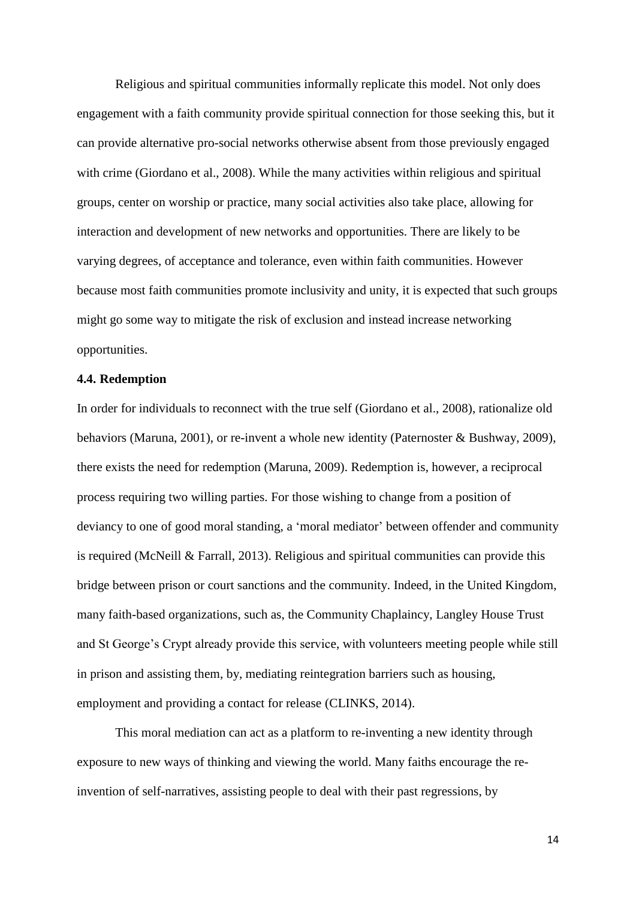Religious and spiritual communities informally replicate this model. Not only does engagement with a faith community provide spiritual connection for those seeking this, but it can provide alternative pro-social networks otherwise absent from those previously engaged with crime (Giordano et al., 2008). While the many activities within religious and spiritual groups, center on worship or practice, many social activities also take place, allowing for interaction and development of new networks and opportunities. There are likely to be varying degrees, of acceptance and tolerance, even within faith communities. However because most faith communities promote inclusivity and unity, it is expected that such groups might go some way to mitigate the risk of exclusion and instead increase networking opportunities.

# **4.4. Redemption**

In order for individuals to reconnect with the true self (Giordano et al., 2008), rationalize old behaviors (Maruna, 2001), or re-invent a whole new identity (Paternoster & Bushway, 2009), there exists the need for redemption (Maruna, 2009). Redemption is, however, a reciprocal process requiring two willing parties. For those wishing to change from a position of deviancy to one of good moral standing, a 'moral mediator' between offender and community is required (McNeill & Farrall, 2013). Religious and spiritual communities can provide this bridge between prison or court sanctions and the community. Indeed, in the United Kingdom, many faith-based organizations, such as, the Community Chaplaincy, Langley House Trust and St George's Crypt already provide this service, with volunteers meeting people while still in prison and assisting them, by, mediating reintegration barriers such as housing, employment and providing a contact for release (CLINKS, 2014).

This moral mediation can act as a platform to re-inventing a new identity through exposure to new ways of thinking and viewing the world. Many faiths encourage the reinvention of self-narratives, assisting people to deal with their past regressions, by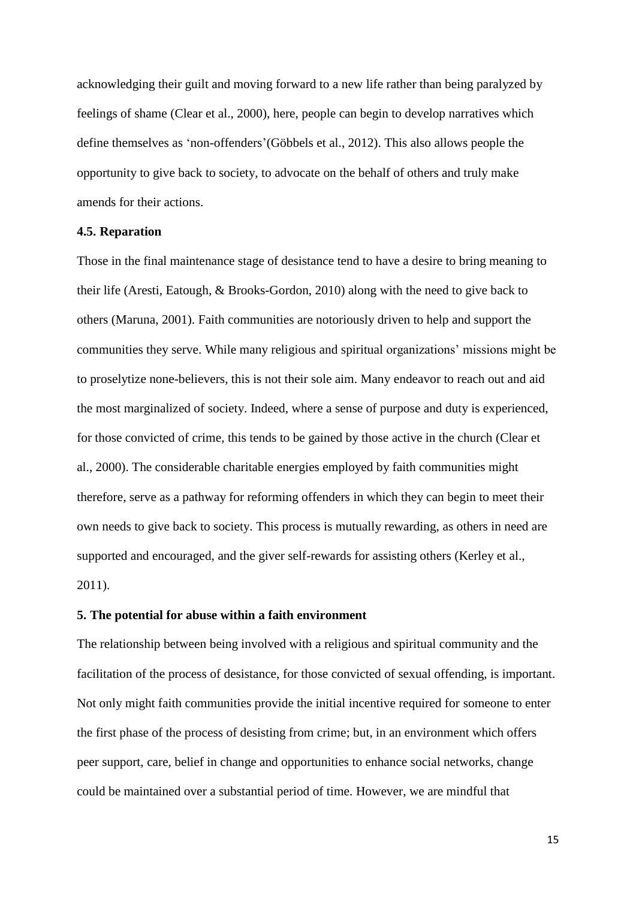acknowledging their guilt and moving forward to a new life rather than being paralyzed by feelings of shame (Clear et al., 2000), here, people can begin to develop narratives which define themselves as 'non-offenders'(Göbbels et al., 2012). This also allows people the opportunity to give back to society, to advocate on the behalf of others and truly make amends for their actions.

## **4.5. Reparation**

Those in the final maintenance stage of desistance tend to have a desire to bring meaning to their life (Aresti, Eatough, & Brooks-Gordon, 2010) along with the need to give back to others (Maruna, 2001). Faith communities are notoriously driven to help and support the communities they serve. While many religious and spiritual organizations' missions might be to proselytize none-believers, this is not their sole aim. Many endeavor to reach out and aid the most marginalized of society. Indeed, where a sense of purpose and duty is experienced, for those convicted of crime, this tends to be gained by those active in the church (Clear et al., 2000). The considerable charitable energies employed by faith communities might therefore, serve as a pathway for reforming offenders in which they can begin to meet their own needs to give back to society. This process is mutually rewarding, as others in need are supported and encouraged, and the giver self-rewards for assisting others (Kerley et al., 2011).

# **5. The potential for abuse within a faith environment**

The relationship between being involved with a religious and spiritual community and the facilitation of the process of desistance, for those convicted of sexual offending, is important. Not only might faith communities provide the initial incentive required for someone to enter the first phase of the process of desisting from crime; but, in an environment which offers peer support, care, belief in change and opportunities to enhance social networks, change could be maintained over a substantial period of time. However, we are mindful that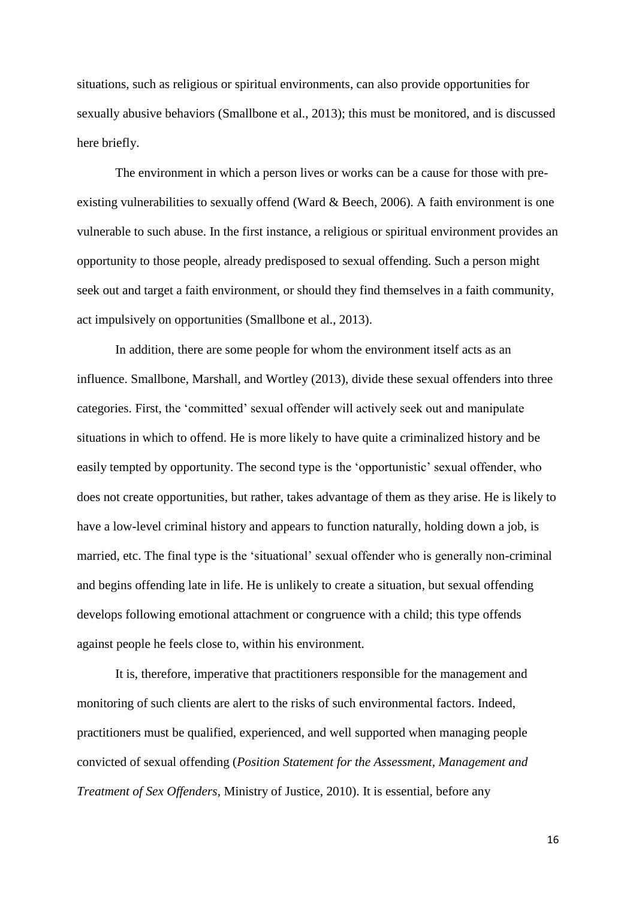situations, such as religious or spiritual environments, can also provide opportunities for sexually abusive behaviors (Smallbone et al., 2013); this must be monitored, and is discussed here briefly.

The environment in which a person lives or works can be a cause for those with preexisting vulnerabilities to sexually offend (Ward & Beech, 2006). A faith environment is one vulnerable to such abuse. In the first instance, a religious or spiritual environment provides an opportunity to those people, already predisposed to sexual offending. Such a person might seek out and target a faith environment, or should they find themselves in a faith community, act impulsively on opportunities (Smallbone et al., 2013).

In addition, there are some people for whom the environment itself acts as an influence. Smallbone, Marshall, and Wortley (2013), divide these sexual offenders into three categories. First, the 'committed' sexual offender will actively seek out and manipulate situations in which to offend. He is more likely to have quite a criminalized history and be easily tempted by opportunity. The second type is the 'opportunistic' sexual offender, who does not create opportunities, but rather, takes advantage of them as they arise. He is likely to have a low-level criminal history and appears to function naturally, holding down a job, is married, etc. The final type is the 'situational' sexual offender who is generally non-criminal and begins offending late in life. He is unlikely to create a situation, but sexual offending develops following emotional attachment or congruence with a child; this type offends against people he feels close to, within his environment.

It is, therefore, imperative that practitioners responsible for the management and monitoring of such clients are alert to the risks of such environmental factors. Indeed, practitioners must be qualified, experienced, and well supported when managing people convicted of sexual offending (*Position Statement for the Assessment, Management and Treatment of Sex Offenders*, Ministry of Justice, 2010). It is essential, before any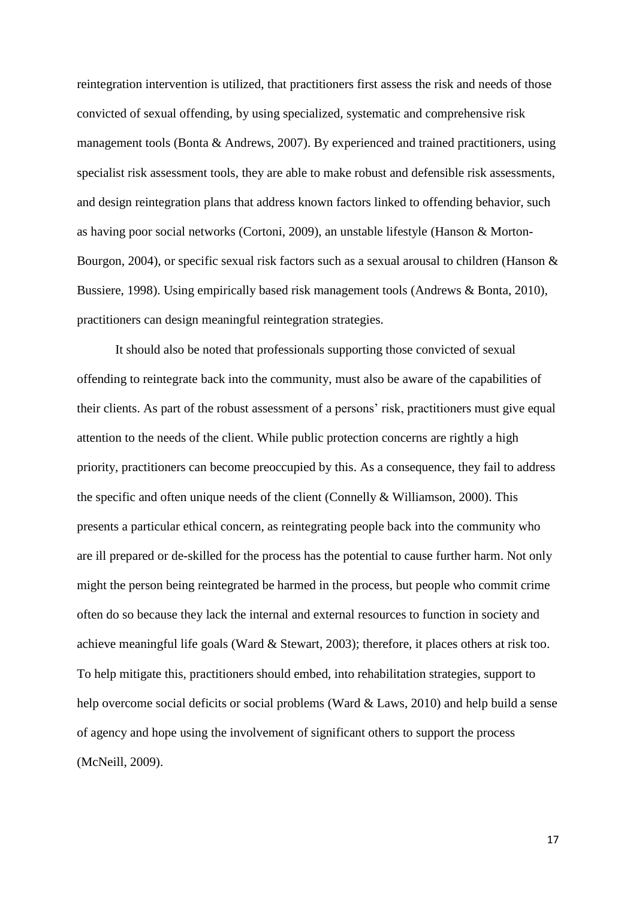reintegration intervention is utilized, that practitioners first assess the risk and needs of those convicted of sexual offending, by using specialized, systematic and comprehensive risk management tools (Bonta & Andrews, 2007). By experienced and trained practitioners, using specialist risk assessment tools, they are able to make robust and defensible risk assessments, and design reintegration plans that address known factors linked to offending behavior, such as having poor social networks (Cortoni, 2009), an unstable lifestyle (Hanson & Morton-Bourgon, 2004), or specific sexual risk factors such as a sexual arousal to children (Hanson  $\&$ Bussiere, 1998). Using empirically based risk management tools (Andrews & Bonta, 2010), practitioners can design meaningful reintegration strategies.

It should also be noted that professionals supporting those convicted of sexual offending to reintegrate back into the community, must also be aware of the capabilities of their clients. As part of the robust assessment of a persons' risk, practitioners must give equal attention to the needs of the client. While public protection concerns are rightly a high priority, practitioners can become preoccupied by this. As a consequence, they fail to address the specific and often unique needs of the client (Connelly  $\&$  Williamson, 2000). This presents a particular ethical concern, as reintegrating people back into the community who are ill prepared or de-skilled for the process has the potential to cause further harm. Not only might the person being reintegrated be harmed in the process, but people who commit crime often do so because they lack the internal and external resources to function in society and achieve meaningful life goals (Ward & Stewart, 2003); therefore, it places others at risk too. To help mitigate this, practitioners should embed, into rehabilitation strategies, support to help overcome social deficits or social problems (Ward & Laws, 2010) and help build a sense of agency and hope using the involvement of significant others to support the process (McNeill, 2009).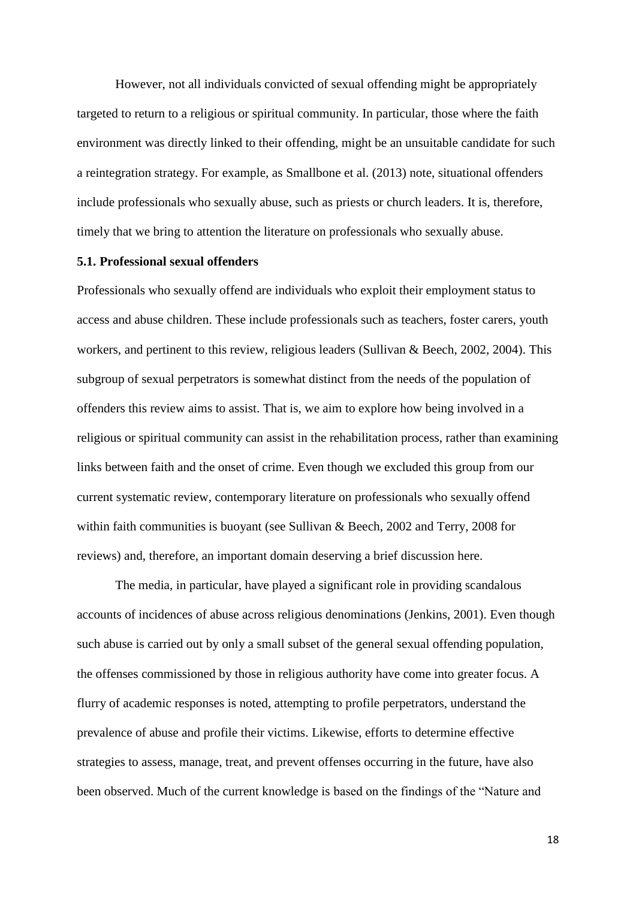However, not all individuals convicted of sexual offending might be appropriately targeted to return to a religious or spiritual community. In particular, those where the faith environment was directly linked to their offending, might be an unsuitable candidate for such a reintegration strategy. For example, as Smallbone et al. (2013) note, situational offenders include professionals who sexually abuse, such as priests or church leaders. It is, therefore, timely that we bring to attention the literature on professionals who sexually abuse.

#### **5.1. Professional sexual offenders**

Professionals who sexually offend are individuals who exploit their employment status to access and abuse children. These include professionals such as teachers, foster carers, youth workers, and pertinent to this review, religious leaders (Sullivan & Beech, 2002, 2004). This subgroup of sexual perpetrators is somewhat distinct from the needs of the population of offenders this review aims to assist. That is, we aim to explore how being involved in a religious or spiritual community can assist in the rehabilitation process, rather than examining links between faith and the onset of crime. Even though we excluded this group from our current systematic review, contemporary literature on professionals who sexually offend within faith communities is buoyant (see Sullivan & Beech, 2002 and Terry, 2008 for reviews) and, therefore, an important domain deserving a brief discussion here.

The media, in particular, have played a significant role in providing scandalous accounts of incidences of abuse across religious denominations (Jenkins, 2001). Even though such abuse is carried out by only a small subset of the general sexual offending population, the offenses commissioned by those in religious authority have come into greater focus. A flurry of academic responses is noted, attempting to profile perpetrators, understand the prevalence of abuse and profile their victims. Likewise, efforts to determine effective strategies to assess, manage, treat, and prevent offenses occurring in the future, have also been observed. Much of the current knowledge is based on the findings of the "Nature and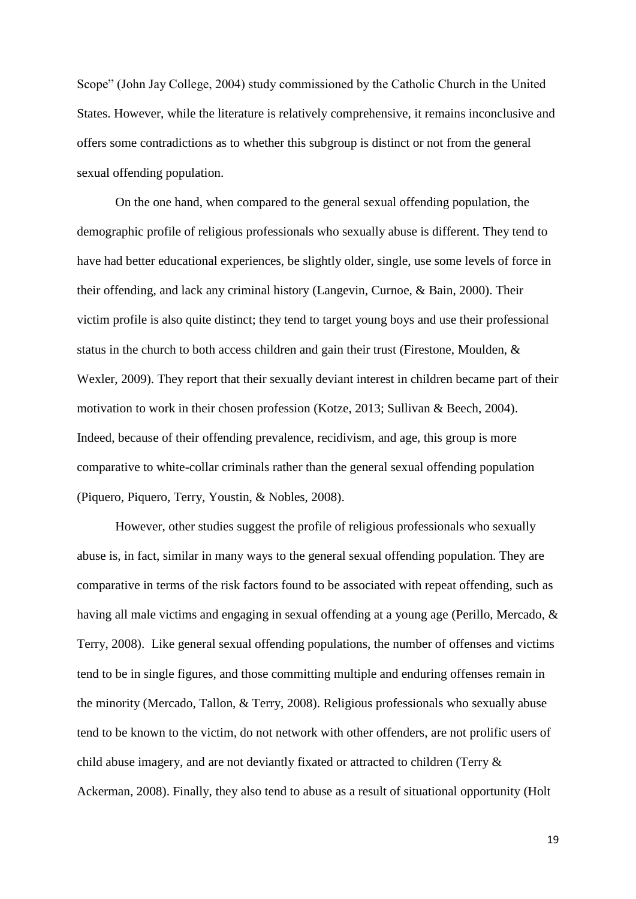Scope" (John Jay College, 2004) study commissioned by the Catholic Church in the United States. However, while the literature is relatively comprehensive, it remains inconclusive and offers some contradictions as to whether this subgroup is distinct or not from the general sexual offending population.

On the one hand, when compared to the general sexual offending population, the demographic profile of religious professionals who sexually abuse is different. They tend to have had better educational experiences, be slightly older, single, use some levels of force in their offending, and lack any criminal history (Langevin, Curnoe, & Bain, 2000). Their victim profile is also quite distinct; they tend to target young boys and use their professional status in the church to both access children and gain their trust (Firestone, Moulden, & Wexler, 2009). They report that their sexually deviant interest in children became part of their motivation to work in their chosen profession (Kotze, 2013; Sullivan & Beech, 2004). Indeed, because of their offending prevalence, recidivism, and age, this group is more comparative to white-collar criminals rather than the general sexual offending population (Piquero, Piquero, Terry, Youstin, & Nobles, 2008).

However, other studies suggest the profile of religious professionals who sexually abuse is, in fact, similar in many ways to the general sexual offending population. They are comparative in terms of the risk factors found to be associated with repeat offending, such as having all male victims and engaging in sexual offending at a young age (Perillo, Mercado, & Terry, 2008). Like general sexual offending populations, the number of offenses and victims tend to be in single figures, and those committing multiple and enduring offenses remain in the minority (Mercado, Tallon, & Terry, 2008). Religious professionals who sexually abuse tend to be known to the victim, do not network with other offenders, are not prolific users of child abuse imagery, and are not deviantly fixated or attracted to children (Terry & Ackerman, 2008). Finally, they also tend to abuse as a result of situational opportunity (Holt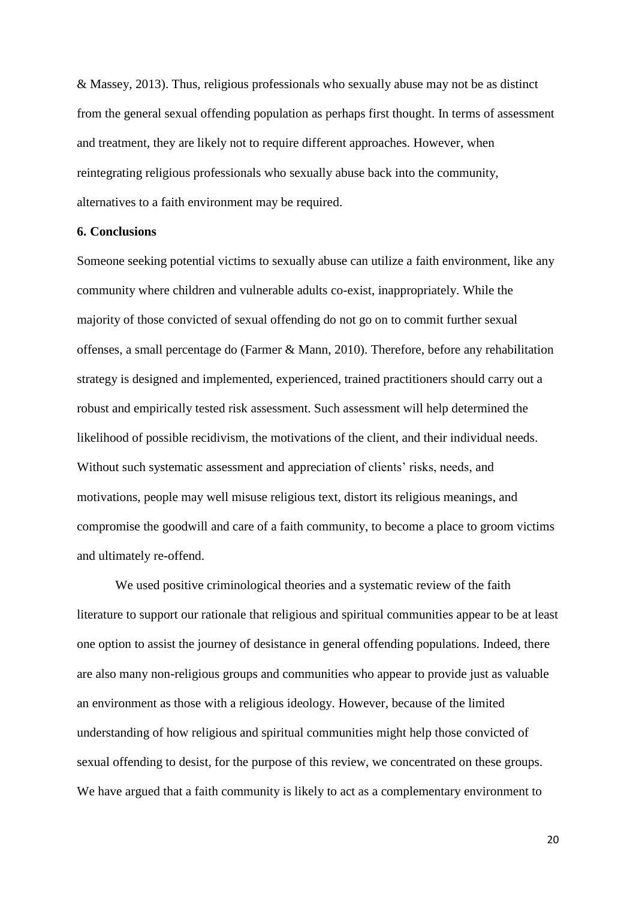& Massey, 2013). Thus, religious professionals who sexually abuse may not be as distinct from the general sexual offending population as perhaps first thought. In terms of assessment and treatment, they are likely not to require different approaches. However, when reintegrating religious professionals who sexually abuse back into the community, alternatives to a faith environment may be required.

# **6. Conclusions**

Someone seeking potential victims to sexually abuse can utilize a faith environment, like any community where children and vulnerable adults co-exist, inappropriately. While the majority of those convicted of sexual offending do not go on to commit further sexual offenses, a small percentage do (Farmer & Mann, 2010). Therefore, before any rehabilitation strategy is designed and implemented, experienced, trained practitioners should carry out a robust and empirically tested risk assessment. Such assessment will help determined the likelihood of possible recidivism, the motivations of the client, and their individual needs. Without such systematic assessment and appreciation of clients' risks, needs, and motivations, people may well misuse religious text, distort its religious meanings, and compromise the goodwill and care of a faith community, to become a place to groom victims and ultimately re-offend.

We used positive criminological theories and a systematic review of the faith literature to support our rationale that religious and spiritual communities appear to be at least one option to assist the journey of desistance in general offending populations. Indeed, there are also many non-religious groups and communities who appear to provide just as valuable an environment as those with a religious ideology. However, because of the limited understanding of how religious and spiritual communities might help those convicted of sexual offending to desist, for the purpose of this review, we concentrated on these groups. We have argued that a faith community is likely to act as a complementary environment to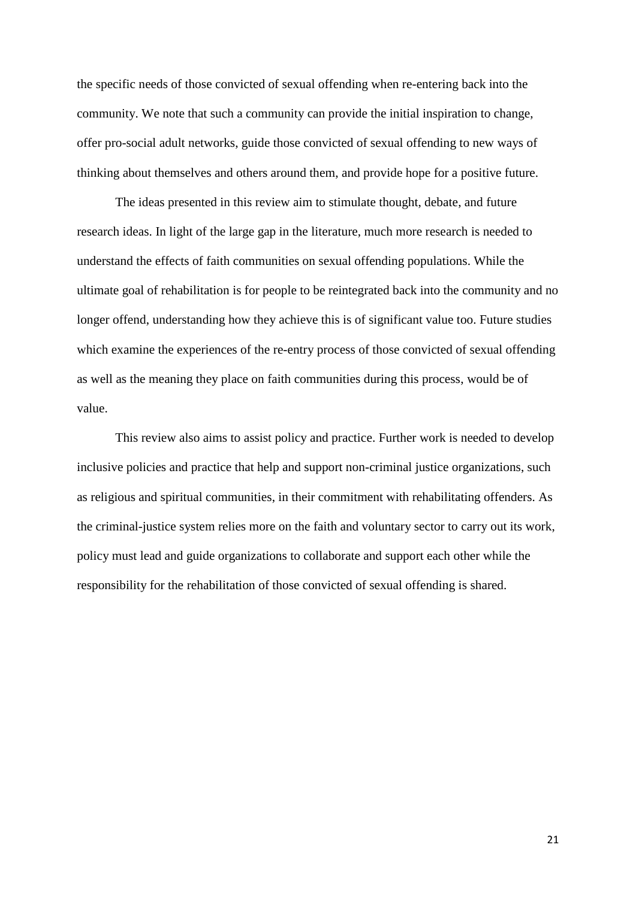the specific needs of those convicted of sexual offending when re-entering back into the community. We note that such a community can provide the initial inspiration to change, offer pro-social adult networks, guide those convicted of sexual offending to new ways of thinking about themselves and others around them, and provide hope for a positive future.

The ideas presented in this review aim to stimulate thought, debate, and future research ideas. In light of the large gap in the literature, much more research is needed to understand the effects of faith communities on sexual offending populations. While the ultimate goal of rehabilitation is for people to be reintegrated back into the community and no longer offend, understanding how they achieve this is of significant value too. Future studies which examine the experiences of the re-entry process of those convicted of sexual offending as well as the meaning they place on faith communities during this process, would be of value.

This review also aims to assist policy and practice. Further work is needed to develop inclusive policies and practice that help and support non-criminal justice organizations, such as religious and spiritual communities, in their commitment with rehabilitating offenders. As the criminal-justice system relies more on the faith and voluntary sector to carry out its work, policy must lead and guide organizations to collaborate and support each other while the responsibility for the rehabilitation of those convicted of sexual offending is shared.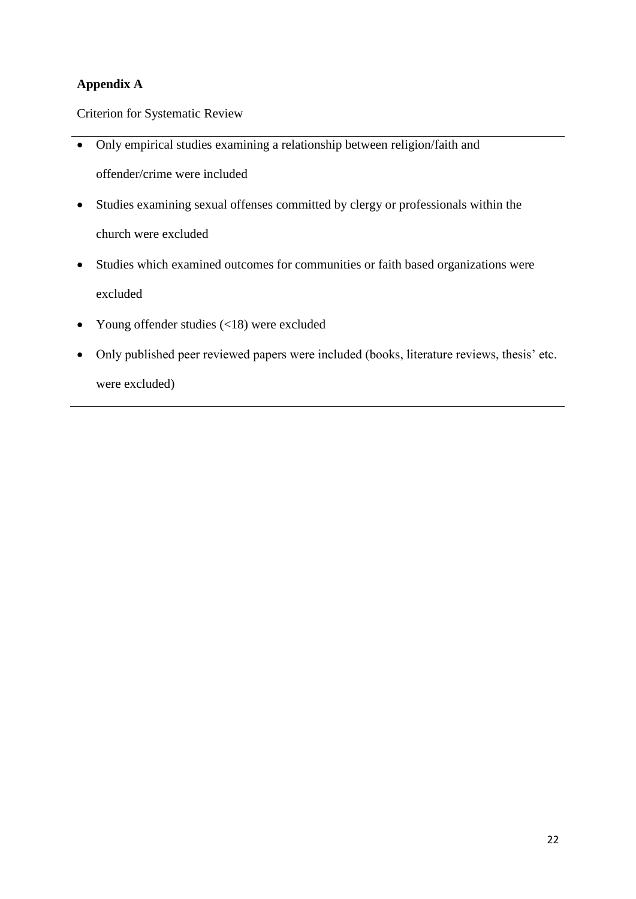# **Appendix A**

Criterion for Systematic Review

- Only empirical studies examining a relationship between religion/faith and offender/crime were included
- Studies examining sexual offenses committed by clergy or professionals within the church were excluded
- Studies which examined outcomes for communities or faith based organizations were excluded
- Young offender studies (<18) were excluded
- Only published peer reviewed papers were included (books, literature reviews, thesis' etc. were excluded)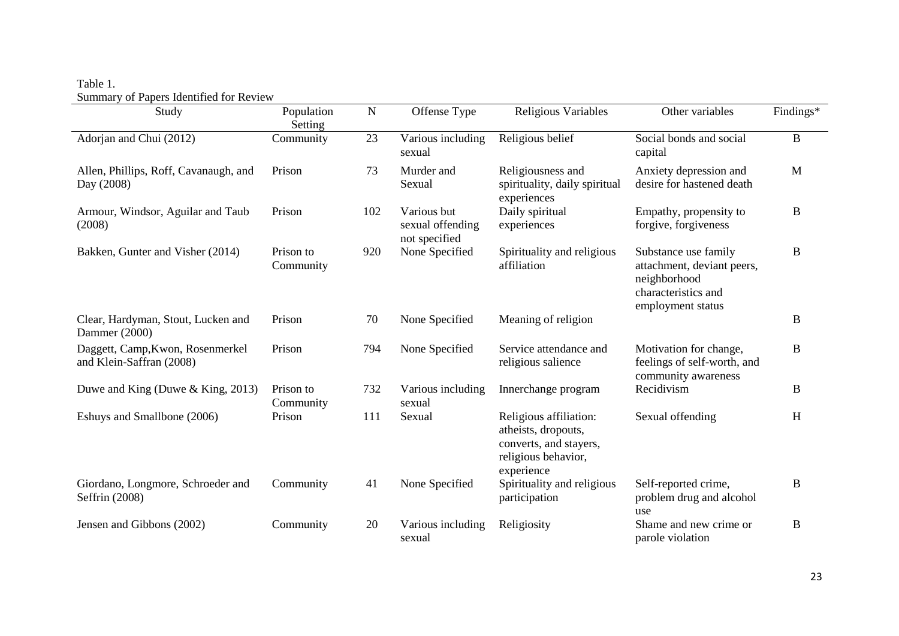# Table 1. Summary of Papers Identified for Review

| $50$ and $\mu$ of 1 apens recommended to receive<br>Study    | Population             | $\mathbf N$ | Offense Type                                     | Religious Variables                                                                                          | Other variables                                                                                                | Findings* |
|--------------------------------------------------------------|------------------------|-------------|--------------------------------------------------|--------------------------------------------------------------------------------------------------------------|----------------------------------------------------------------------------------------------------------------|-----------|
|                                                              | Setting                |             |                                                  |                                                                                                              |                                                                                                                |           |
| Adorjan and Chui (2012)                                      | Community              | 23          | Various including<br>sexual                      | Religious belief                                                                                             | Social bonds and social<br>capital                                                                             | $\bf{B}$  |
| Allen, Phillips, Roff, Cavanaugh, and<br>Day (2008)          | Prison                 | 73          | Murder and<br>Sexual                             | Religiousness and<br>spirituality, daily spiritual<br>experiences                                            | Anxiety depression and<br>desire for hastened death                                                            | M         |
| Armour, Windsor, Aguilar and Taub<br>(2008)                  | Prison                 | 102         | Various but<br>sexual offending<br>not specified | Daily spiritual<br>experiences                                                                               | Empathy, propensity to<br>forgive, forgiveness                                                                 | B         |
| Bakken, Gunter and Visher (2014)                             | Prison to<br>Community | 920         | None Specified                                   | Spirituality and religious<br>affiliation                                                                    | Substance use family<br>attachment, deviant peers,<br>neighborhood<br>characteristics and<br>employment status | B         |
| Clear, Hardyman, Stout, Lucken and<br>Dammer (2000)          | Prison                 | 70          | None Specified                                   | Meaning of religion                                                                                          |                                                                                                                | B         |
| Daggett, Camp, Kwon, Rosenmerkel<br>and Klein-Saffran (2008) | Prison                 | 794         | None Specified                                   | Service attendance and<br>religious salience                                                                 | Motivation for change,<br>feelings of self-worth, and<br>community awareness                                   | B         |
| Duwe and King (Duwe & King, 2013)                            | Prison to<br>Community | 732         | Various including<br>sexual                      | Innerchange program                                                                                          | Recidivism                                                                                                     | B         |
| Eshuys and Smallbone (2006)                                  | Prison                 | 111         | Sexual                                           | Religious affiliation:<br>atheists, dropouts,<br>converts, and stayers,<br>religious behavior,<br>experience | Sexual offending                                                                                               | H         |
| Giordano, Longmore, Schroeder and<br>Seffrin (2008)          | Community              | 41          | None Specified                                   | Spirituality and religious<br>participation                                                                  | Self-reported crime,<br>problem drug and alcohol<br>use                                                        | B         |
| Jensen and Gibbons (2002)                                    | Community              | 20          | Various including<br>sexual                      | Religiosity                                                                                                  | Shame and new crime or<br>parole violation                                                                     | B         |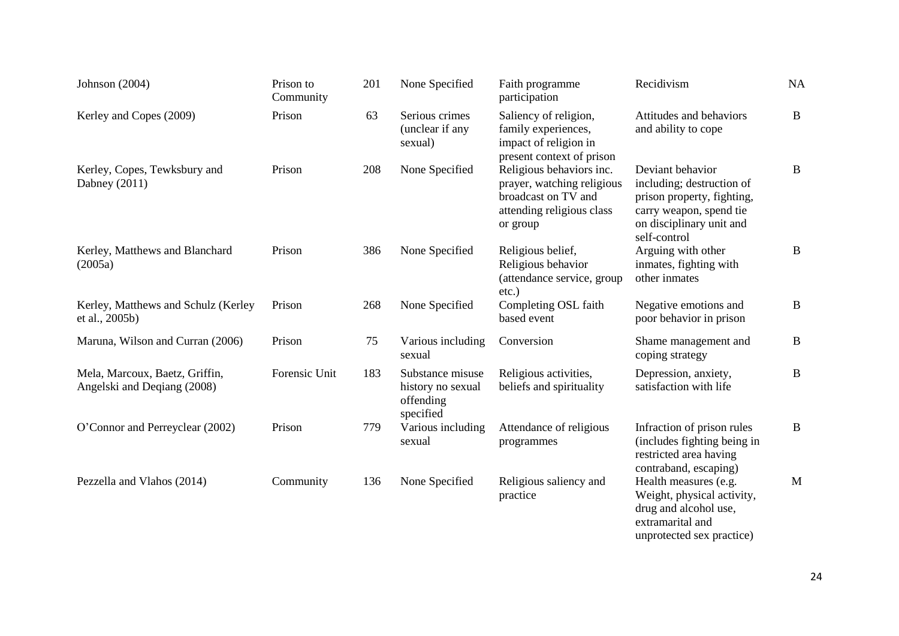| Johnson (2004)                                                | Prison to<br>Community | 201 | None Specified                                                  | Faith programme<br>participation                                                                                       | Recidivism                                                                                                                                         | NA           |
|---------------------------------------------------------------|------------------------|-----|-----------------------------------------------------------------|------------------------------------------------------------------------------------------------------------------------|----------------------------------------------------------------------------------------------------------------------------------------------------|--------------|
| Kerley and Copes (2009)                                       | Prison                 | 63  | Serious crimes<br>(unclear if any<br>sexual)                    | Saliency of religion,<br>family experiences,<br>impact of religion in<br>present context of prison                     | Attitudes and behaviors<br>and ability to cope                                                                                                     | $\bf{B}$     |
| Kerley, Copes, Tewksbury and<br>Dabney (2011)                 | Prison                 | 208 | None Specified                                                  | Religious behaviors inc.<br>prayer, watching religious<br>broadcast on TV and<br>attending religious class<br>or group | Deviant behavior<br>including; destruction of<br>prison property, fighting,<br>carry weapon, spend tie<br>on disciplinary unit and<br>self-control | B            |
| Kerley, Matthews and Blanchard<br>(2005a)                     | Prison                 | 386 | None Specified                                                  | Religious belief,<br>Religious behavior<br>(attendance service, group<br>$etc.$ )                                      | Arguing with other<br>inmates, fighting with<br>other inmates                                                                                      | B            |
| Kerley, Matthews and Schulz (Kerley<br>et al., 2005b)         | Prison                 | 268 | None Specified                                                  | Completing OSL faith<br>based event                                                                                    | Negative emotions and<br>poor behavior in prison                                                                                                   | $\mathbf{B}$ |
| Maruna, Wilson and Curran (2006)                              | Prison                 | 75  | Various including<br>sexual                                     | Conversion                                                                                                             | Shame management and<br>coping strategy                                                                                                            | $\bf{B}$     |
| Mela, Marcoux, Baetz, Griffin,<br>Angelski and Deqiang (2008) | Forensic Unit          | 183 | Substance misuse<br>history no sexual<br>offending<br>specified | Religious activities,<br>beliefs and spirituality                                                                      | Depression, anxiety,<br>satisfaction with life                                                                                                     | $\mathbf{B}$ |
| O'Connor and Perreyclear (2002)                               | Prison                 | 779 | Various including<br>sexual                                     | Attendance of religious<br>programmes                                                                                  | Infraction of prison rules<br>(includes fighting being in<br>restricted area having<br>contraband, escaping)                                       | $\bf{B}$     |
| Pezzella and Vlahos (2014)                                    | Community              | 136 | None Specified                                                  | Religious saliency and<br>practice                                                                                     | Health measures (e.g.<br>Weight, physical activity,<br>drug and alcohol use,<br>extramarital and<br>unprotected sex practice)                      | M            |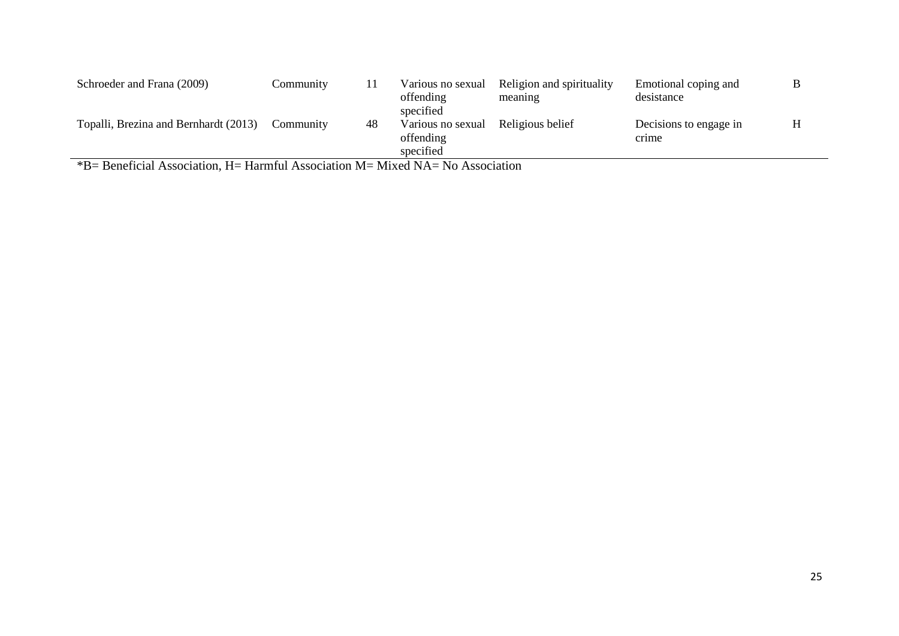| Schroeder and Frana (2009)            | Community |    | Various no sexual<br>offending<br>specified | Religion and spirituality<br>meaning | Emotional coping and<br>desistance |  |
|---------------------------------------|-----------|----|---------------------------------------------|--------------------------------------|------------------------------------|--|
| Topalli, Brezina and Bernhardt (2013) | Community | 48 | Various no sexual<br>offending<br>specified | Religious belief                     | Decisions to engage in<br>crime    |  |

\*B= Beneficial Association, H= Harmful Association M= Mixed NA= No Association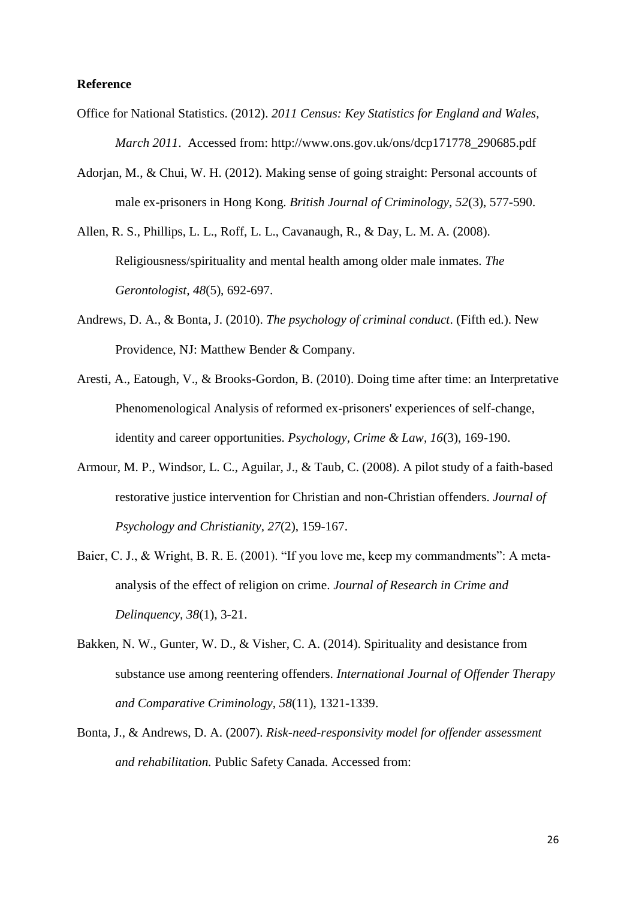#### **Reference**

- Office for National Statistics. (2012). *2011 Census: Key Statistics for England and Wales, March 2011*. Accessed from: http://www.ons.gov.uk/ons/dcp171778\_290685.pdf
- Adorjan, M., & Chui, W. H. (2012). Making sense of going straight: Personal accounts of male ex-prisoners in Hong Kong. *British Journal of Criminology, 52*(3), 577-590.
- Allen, R. S., Phillips, L. L., Roff, L. L., Cavanaugh, R., & Day, L. M. A. (2008). Religiousness/spirituality and mental health among older male inmates. *The Gerontologist, 48*(5), 692-697.
- Andrews, D. A., & Bonta, J. (2010). *The psychology of criminal conduct*. (Fifth ed.). New Providence, NJ: Matthew Bender & Company.
- Aresti, A., Eatough, V., & Brooks-Gordon, B. (2010). Doing time after time: an Interpretative Phenomenological Analysis of reformed ex-prisoners' experiences of self-change, identity and career opportunities. *Psychology, Crime & Law, 16*(3), 169-190.
- Armour, M. P., Windsor, L. C., Aguilar, J., & Taub, C. (2008). A pilot study of a faith-based restorative justice intervention for Christian and non-Christian offenders. *Journal of Psychology and Christianity, 27*(2), 159-167.
- Baier, C. J., & Wright, B. R. E. (2001). "If you love me, keep my commandments": A metaanalysis of the effect of religion on crime. *Journal of Research in Crime and Delinquency, 38*(1), 3-21.
- Bakken, N. W., Gunter, W. D., & Visher, C. A. (2014). Spirituality and desistance from substance use among reentering offenders. *International Journal of Offender Therapy and Comparative Criminology, 58*(11), 1321-1339.
- Bonta, J., & Andrews, D. A. (2007). *Risk-need-responsivity model for offender assessment and rehabilitation.* Public Safety Canada. Accessed from: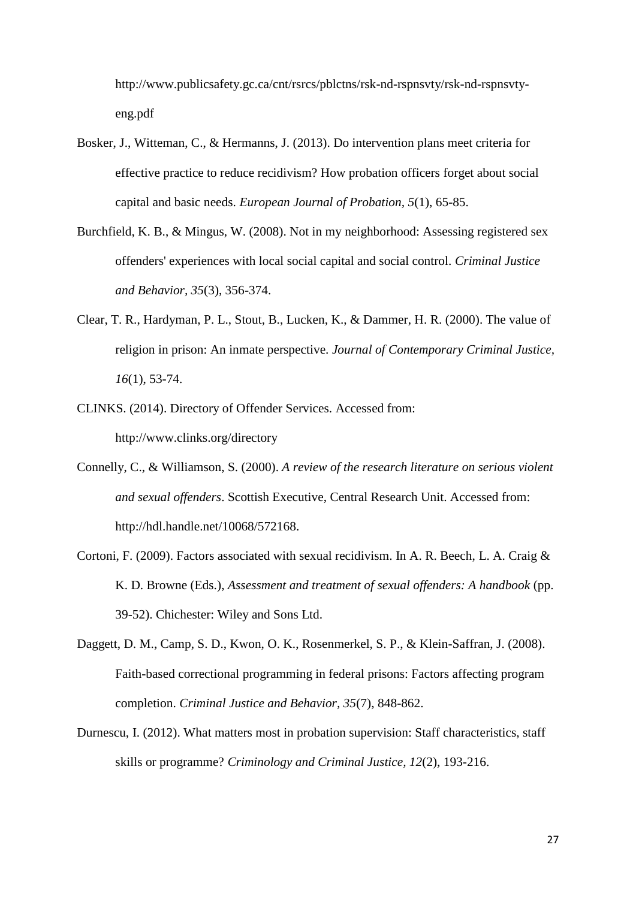http://www.publicsafety.gc.ca/cnt/rsrcs/pblctns/rsk-nd-rspnsvty/rsk-nd-rspnsvtyeng.pdf

- Bosker, J., Witteman, C., & Hermanns, J. (2013). Do intervention plans meet criteria for effective practice to reduce recidivism? How probation officers forget about social capital and basic needs. *European Journal of Probation, 5*(1), 65-85.
- Burchfield, K. B., & Mingus, W. (2008). Not in my neighborhood: Assessing registered sex offenders' experiences with local social capital and social control. *Criminal Justice and Behavior, 35*(3), 356-374.
- Clear, T. R., Hardyman, P. L., Stout, B., Lucken, K., & Dammer, H. R. (2000). The value of religion in prison: An inmate perspective. *Journal of Contemporary Criminal Justice, 16*(1), 53-74.
- CLINKS. (2014). Directory of Offender Services. Accessed from: http://www.clinks.org/directory
- Connelly, C., & Williamson, S. (2000). *A review of the research literature on serious violent and sexual offenders*. Scottish Executive, Central Research Unit. Accessed from: http://hdl.handle.net/10068/572168.
- Cortoni, F. (2009). Factors associated with sexual recidivism. In A. R. Beech, L. A. Craig & K. D. Browne (Eds.), *Assessment and treatment of sexual offenders: A handbook* (pp. 39-52). Chichester: Wiley and Sons Ltd.
- Daggett, D. M., Camp, S. D., Kwon, O. K., Rosenmerkel, S. P., & Klein-Saffran, J. (2008). Faith-based correctional programming in federal prisons: Factors affecting program completion. *Criminal Justice and Behavior, 35*(7), 848-862.
- Durnescu, I. (2012). What matters most in probation supervision: Staff characteristics, staff skills or programme? *Criminology and Criminal Justice, 12*(2), 193-216.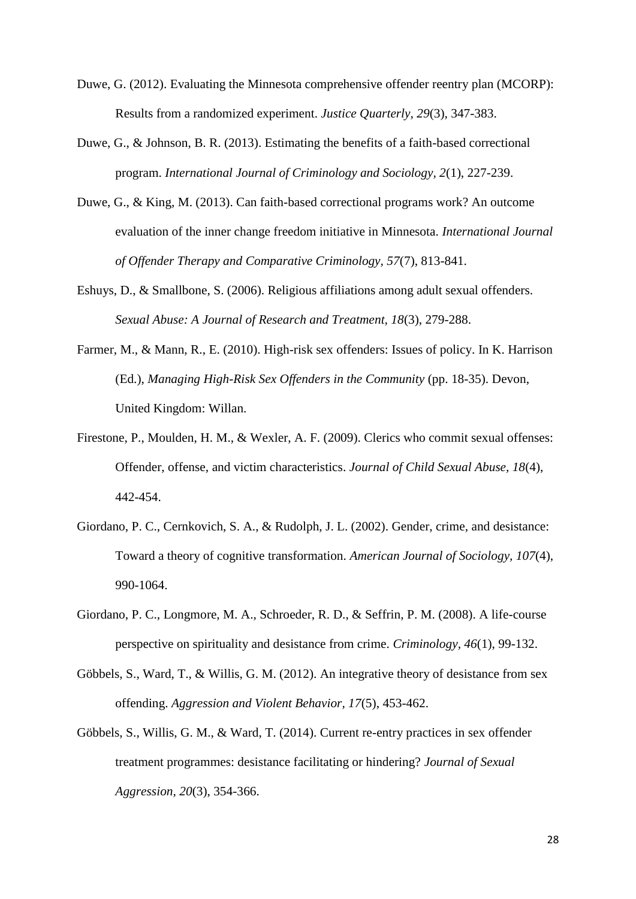- Duwe, G. (2012). Evaluating the Minnesota comprehensive offender reentry plan (MCORP): Results from a randomized experiment. *Justice Quarterly, 29*(3), 347-383.
- Duwe, G., & Johnson, B. R. (2013). Estimating the benefits of a faith-based correctional program. *International Journal of Criminology and Sociology, 2*(1), 227-239.
- Duwe, G., & King, M. (2013). Can faith-based correctional programs work? An outcome evaluation of the inner change freedom initiative in Minnesota. *International Journal of Offender Therapy and Comparative Criminology, 57*(7), 813-841.
- Eshuys, D., & Smallbone, S. (2006). Religious affiliations among adult sexual offenders. *Sexual Abuse: A Journal of Research and Treatment, 18*(3), 279-288.
- Farmer, M., & Mann, R., E. (2010). High-risk sex offenders: Issues of policy. In K. Harrison (Ed.), *Managing High-Risk Sex Offenders in the Community* (pp. 18-35). Devon, United Kingdom: Willan.
- Firestone, P., Moulden, H. M., & Wexler, A. F. (2009). Clerics who commit sexual offenses: Offender, offense, and victim characteristics. *Journal of Child Sexual Abuse, 18*(4), 442-454.
- Giordano, P. C., Cernkovich, S. A., & Rudolph, J. L. (2002). Gender, crime, and desistance: Toward a theory of cognitive transformation. *American Journal of Sociology, 107*(4), 990-1064.
- Giordano, P. C., Longmore, M. A., Schroeder, R. D., & Seffrin, P. M. (2008). A life-course perspective on spirituality and desistance from crime. *Criminology, 46*(1), 99-132.
- Göbbels, S., Ward, T., & Willis, G. M. (2012). An integrative theory of desistance from sex offending. *Aggression and Violent Behavior, 17*(5), 453-462.
- Göbbels, S., Willis, G. M., & Ward, T. (2014). Current re-entry practices in sex offender treatment programmes: desistance facilitating or hindering? *Journal of Sexual Aggression, 20*(3), 354-366.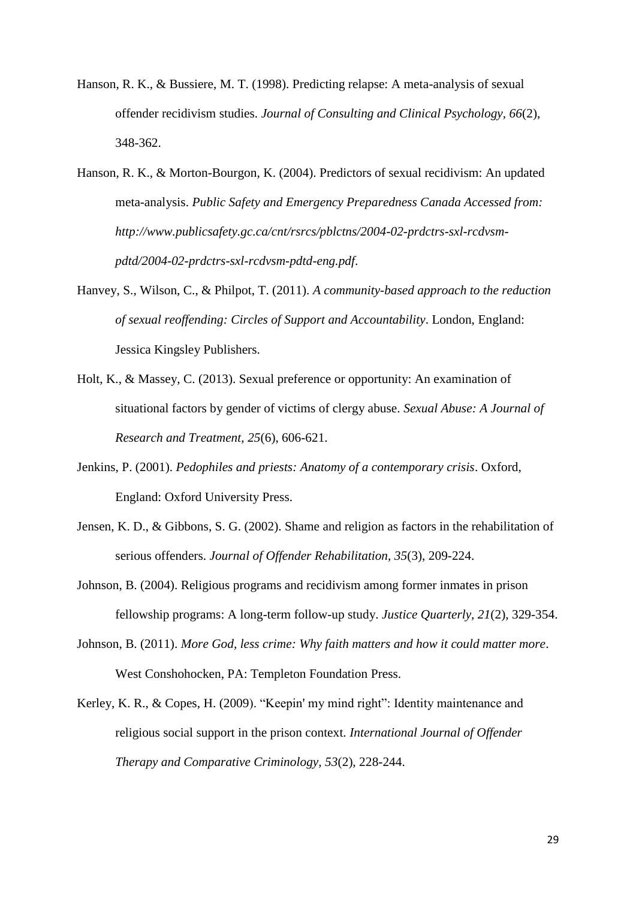- Hanson, R. K., & Bussiere, M. T. (1998). Predicting relapse: A meta-analysis of sexual offender recidivism studies. *Journal of Consulting and Clinical Psychology, 66*(2), 348-362.
- Hanson, R. K., & Morton-Bourgon, K. (2004). Predictors of sexual recidivism: An updated meta-analysis. *Public Safety and Emergency Preparedness Canada Accessed from: http://www.publicsafety.gc.ca/cnt/rsrcs/pblctns/2004-02-prdctrs-sxl-rcdvsmpdtd/2004-02-prdctrs-sxl-rcdvsm-pdtd-eng.pdf*.
- Hanvey, S., Wilson, C., & Philpot, T. (2011). *A community-based approach to the reduction of sexual reoffending: Circles of Support and Accountability*. London, England: Jessica Kingsley Publishers.
- Holt, K., & Massey, C. (2013). Sexual preference or opportunity: An examination of situational factors by gender of victims of clergy abuse. *Sexual Abuse: A Journal of Research and Treatment, 25*(6), 606-621.
- Jenkins, P. (2001). *Pedophiles and priests: Anatomy of a contemporary crisis*. Oxford, England: Oxford University Press.
- Jensen, K. D., & Gibbons, S. G. (2002). Shame and religion as factors in the rehabilitation of serious offenders. *Journal of Offender Rehabilitation, 35*(3), 209-224.
- Johnson, B. (2004). Religious programs and recidivism among former inmates in prison fellowship programs: A long-term follow-up study. *Justice Quarterly, 21*(2), 329-354.
- Johnson, B. (2011). *More God, less crime: Why faith matters and how it could matter more*. West Conshohocken, PA: Templeton Foundation Press.
- Kerley, K. R., & Copes, H. (2009). "Keepin' my mind right": Identity maintenance and religious social support in the prison context. *International Journal of Offender Therapy and Comparative Criminology, 53*(2), 228-244.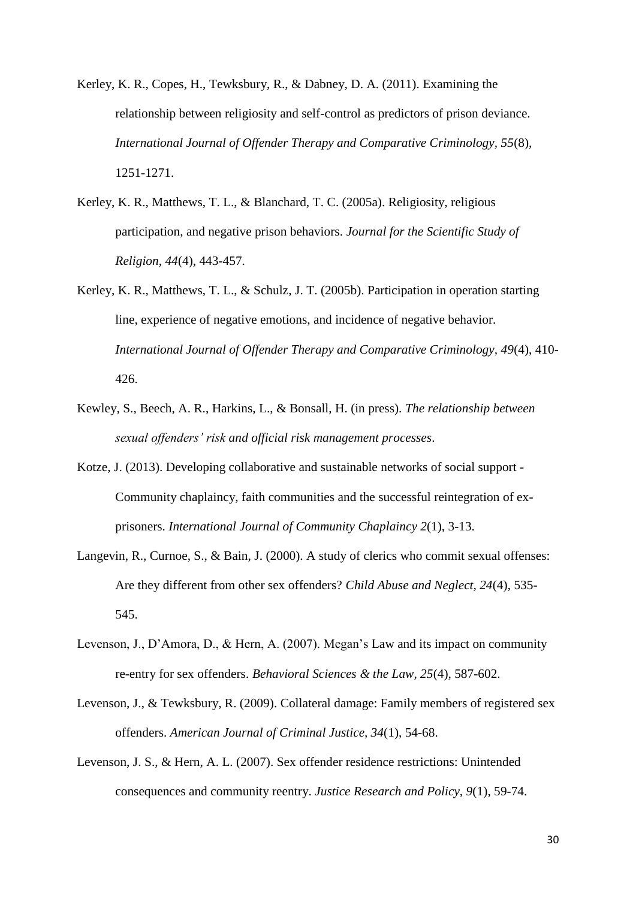Kerley, K. R., Copes, H., Tewksbury, R., & Dabney, D. A. (2011). Examining the relationship between religiosity and self-control as predictors of prison deviance. *International Journal of Offender Therapy and Comparative Criminology, 55*(8), 1251-1271.

- Kerley, K. R., Matthews, T. L., & Blanchard, T. C. (2005a). Religiosity, religious participation, and negative prison behaviors. *Journal for the Scientific Study of Religion, 44*(4), 443-457.
- Kerley, K. R., Matthews, T. L., & Schulz, J. T. (2005b). Participation in operation starting line, experience of negative emotions, and incidence of negative behavior. *International Journal of Offender Therapy and Comparative Criminology, 49*(4), 410- 426.
- Kewley, S., Beech, A. R., Harkins, L., & Bonsall, H. (in press). *The relationship between sexual offenders' risk and official risk management processes*.
- Kotze, J. (2013). Developing collaborative and sustainable networks of social support Community chaplaincy, faith communities and the successful reintegration of exprisoners. *International Journal of Community Chaplaincy 2*(1), 3-13.
- Langevin, R., Curnoe, S., & Bain, J. (2000). A study of clerics who commit sexual offenses: Are they different from other sex offenders? *Child Abuse and Neglect, 24*(4), 535- 545.
- Levenson, J., D'Amora, D., & Hern, A. (2007). Megan's Law and its impact on community re-entry for sex offenders. *Behavioral Sciences & the Law, 25*(4), 587-602.
- Levenson, J., & Tewksbury, R. (2009). Collateral damage: Family members of registered sex offenders. *American Journal of Criminal Justice, 34*(1), 54-68.
- Levenson, J. S., & Hern, A. L. (2007). Sex offender residence restrictions: Unintended consequences and community reentry. *Justice Research and Policy, 9*(1), 59-74.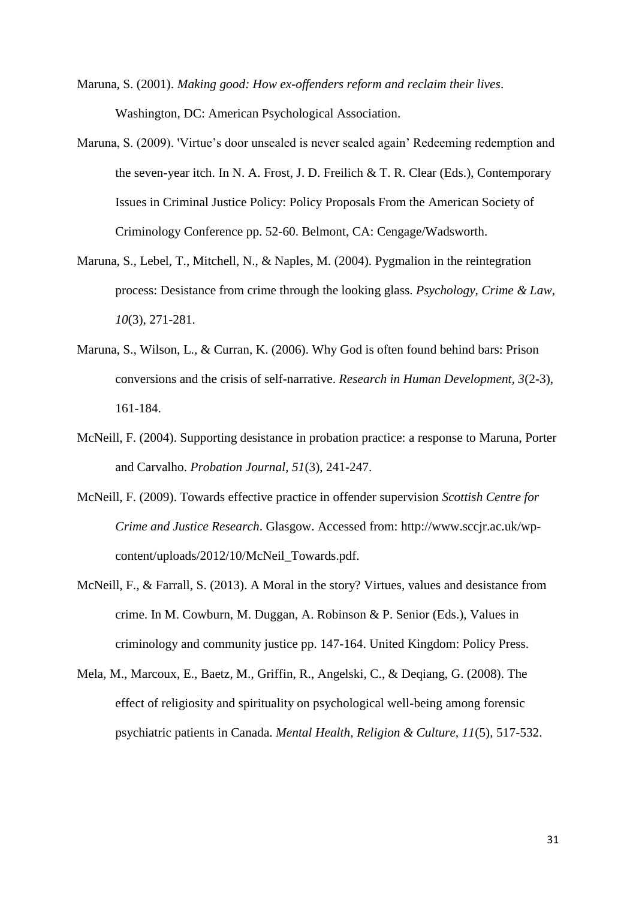- Maruna, S. (2001). *Making good: How ex-offenders reform and reclaim their lives*. Washington, DC: American Psychological Association.
- Maruna, S. (2009). 'Virtue's door unsealed is never sealed again' Redeeming redemption and the seven-year itch. In N. A. Frost, J. D. Freilich & T. R. Clear (Eds.), Contemporary Issues in Criminal Justice Policy: Policy Proposals From the American Society of Criminology Conference pp. 52-60. Belmont, CA: Cengage/Wadsworth.
- Maruna, S., Lebel, T., Mitchell, N., & Naples, M. (2004). Pygmalion in the reintegration process: Desistance from crime through the looking glass. *Psychology, Crime & Law, 10*(3), 271-281.
- Maruna, S., Wilson, L., & Curran, K. (2006). Why God is often found behind bars: Prison conversions and the crisis of self-narrative. *Research in Human Development, 3*(2-3), 161-184.
- McNeill, F. (2004). Supporting desistance in probation practice: a response to Maruna, Porter and Carvalho. *Probation Journal, 51*(3), 241-247.
- McNeill, F. (2009). Towards effective practice in offender supervision *Scottish Centre for Crime and Justice Research*. Glasgow. Accessed from: http://www.sccjr.ac.uk/wpcontent/uploads/2012/10/McNeil\_Towards.pdf.
- McNeill, F., & Farrall, S. (2013). A Moral in the story? Virtues, values and desistance from crime. In M. Cowburn, M. Duggan, A. Robinson & P. Senior (Eds.), Values in criminology and community justice pp. 147-164. United Kingdom: Policy Press.
- Mela, M., Marcoux, E., Baetz, M., Griffin, R., Angelski, C., & Deqiang, G. (2008). The effect of religiosity and spirituality on psychological well-being among forensic psychiatric patients in Canada. *Mental Health, Religion & Culture, 11*(5), 517-532.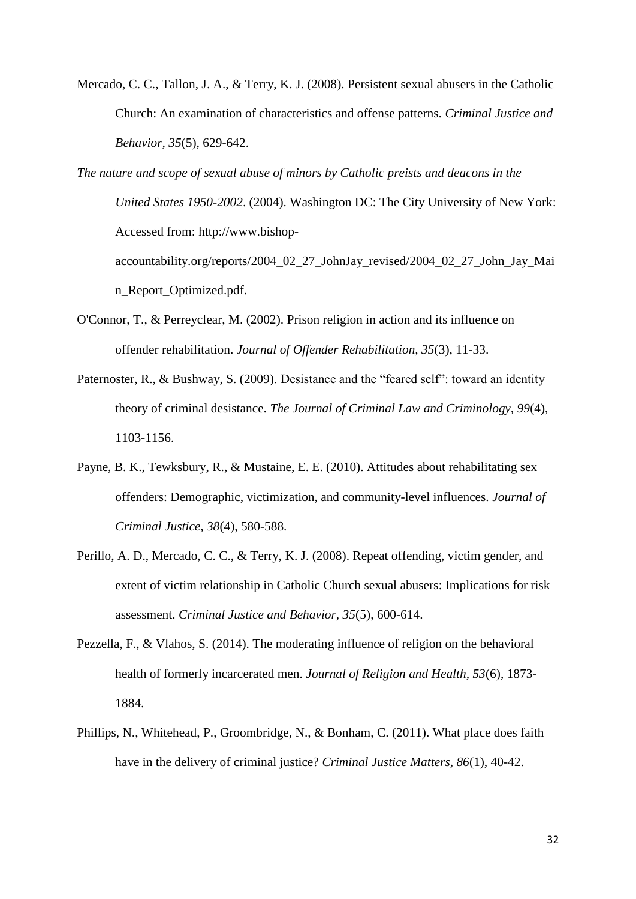Mercado, C. C., Tallon, J. A., & Terry, K. J. (2008). Persistent sexual abusers in the Catholic Church: An examination of characteristics and offense patterns. *Criminal Justice and Behavior, 35*(5), 629-642.

*The nature and scope of sexual abuse of minors by Catholic preists and deacons in the United States 1950-2002*. (2004). Washington DC: The City University of New York: Accessed from: http://www.bishopaccountability.org/reports/2004\_02\_27\_JohnJay\_revised/2004\_02\_27\_John\_Jay\_Mai n\_Report\_Optimized.pdf.

- O'Connor, T., & Perreyclear, M. (2002). Prison religion in action and its influence on offender rehabilitation. *Journal of Offender Rehabilitation, 35*(3), 11-33.
- Paternoster, R., & Bushway, S. (2009). Desistance and the "feared self": toward an identity theory of criminal desistance. *The Journal of Criminal Law and Criminology, 99*(4), 1103-1156.
- Payne, B. K., Tewksbury, R., & Mustaine, E. E. (2010). Attitudes about rehabilitating sex offenders: Demographic, victimization, and community-level influences. *Journal of Criminal Justice, 38*(4), 580-588.
- Perillo, A. D., Mercado, C. C., & Terry, K. J. (2008). Repeat offending, victim gender, and extent of victim relationship in Catholic Church sexual abusers: Implications for risk assessment. *Criminal Justice and Behavior, 35*(5), 600-614.
- Pezzella, F., & Vlahos, S. (2014). The moderating influence of religion on the behavioral health of formerly incarcerated men. *Journal of Religion and Health, 53*(6), 1873- 1884.
- Phillips, N., Whitehead, P., Groombridge, N., & Bonham, C. (2011). What place does faith have in the delivery of criminal justice? *Criminal Justice Matters, 86*(1), 40-42.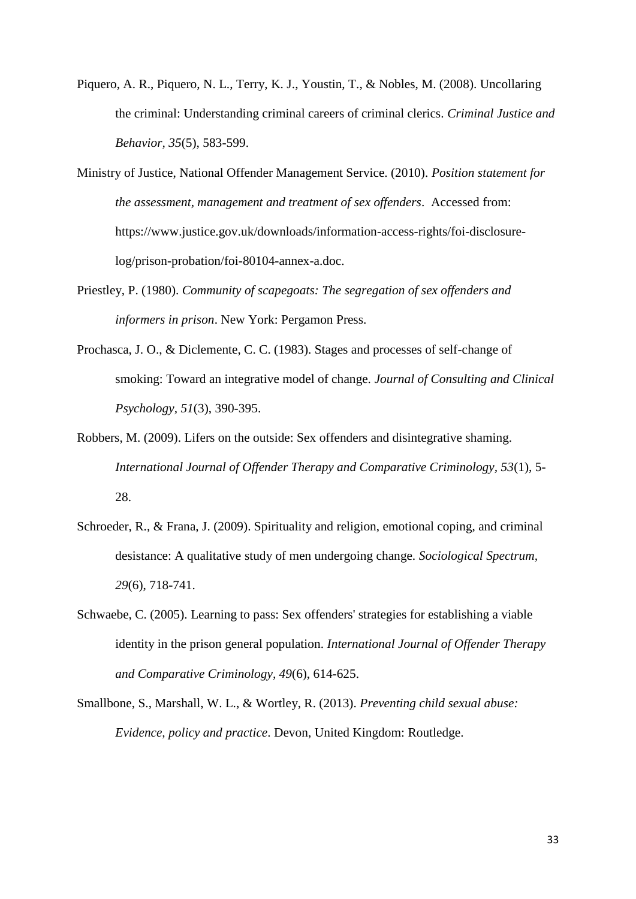- Piquero, A. R., Piquero, N. L., Terry, K. J., Youstin, T., & Nobles, M. (2008). Uncollaring the criminal: Understanding criminal careers of criminal clerics. *Criminal Justice and Behavior, 35*(5), 583-599.
- Ministry of Justice, National Offender Management Service. (2010). *Position statement for the assessment, management and treatment of sex offenders*. Accessed from: https://www.justice.gov.uk/downloads/information-access-rights/foi-disclosurelog/prison-probation/foi-80104-annex-a.doc.
- Priestley, P. (1980). *Community of scapegoats: The segregation of sex offenders and informers in prison*. New York: Pergamon Press.
- Prochasca, J. O., & Diclemente, C. C. (1983). Stages and processes of self-change of smoking: Toward an integrative model of change. *Journal of Consulting and Clinical Psychology, 51*(3), 390-395.
- Robbers, M. (2009). Lifers on the outside: Sex offenders and disintegrative shaming. *International Journal of Offender Therapy and Comparative Criminology, 53*(1), 5- 28.
- Schroeder, R., & Frana, J. (2009). Spirituality and religion, emotional coping, and criminal desistance: A qualitative study of men undergoing change. *Sociological Spectrum, 29*(6), 718-741.
- Schwaebe, C. (2005). Learning to pass: Sex offenders' strategies for establishing a viable identity in the prison general population. *International Journal of Offender Therapy and Comparative Criminology, 49*(6), 614-625.
- Smallbone, S., Marshall, W. L., & Wortley, R. (2013). *Preventing child sexual abuse: Evidence, policy and practice*. Devon, United Kingdom: Routledge.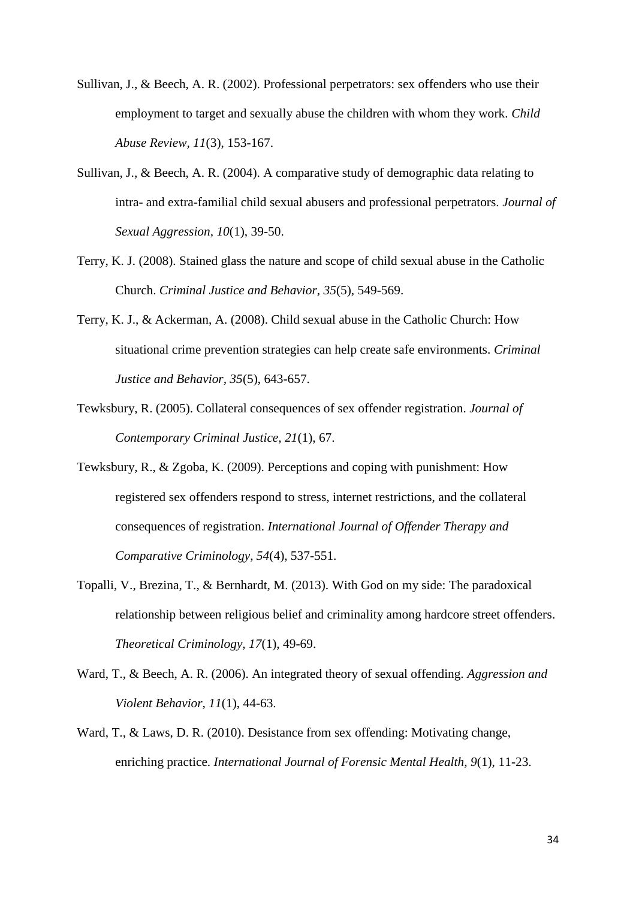- Sullivan, J., & Beech, A. R. (2002). Professional perpetrators: sex offenders who use their employment to target and sexually abuse the children with whom they work. *Child Abuse Review, 11*(3), 153-167.
- Sullivan, J., & Beech, A. R. (2004). A comparative study of demographic data relating to intra- and extra-familial child sexual abusers and professional perpetrators. *Journal of Sexual Aggression, 10*(1), 39-50.
- Terry, K. J. (2008). Stained glass the nature and scope of child sexual abuse in the Catholic Church. *Criminal Justice and Behavior, 35*(5), 549-569.
- Terry, K. J., & Ackerman, A. (2008). Child sexual abuse in the Catholic Church: How situational crime prevention strategies can help create safe environments. *Criminal Justice and Behavior, 35*(5), 643-657.
- Tewksbury, R. (2005). Collateral consequences of sex offender registration. *Journal of Contemporary Criminal Justice, 21*(1), 67.
- Tewksbury, R., & Zgoba, K. (2009). Perceptions and coping with punishment: How registered sex offenders respond to stress, internet restrictions, and the collateral consequences of registration. *International Journal of Offender Therapy and Comparative Criminology, 54*(4), 537-551.
- Topalli, V., Brezina, T., & Bernhardt, M. (2013). With God on my side: The paradoxical relationship between religious belief and criminality among hardcore street offenders. *Theoretical Criminology, 17*(1), 49-69.
- Ward, T., & Beech, A. R. (2006). An integrated theory of sexual offending. *Aggression and Violent Behavior, 11*(1), 44-63.
- Ward, T., & Laws, D. R. (2010). Desistance from sex offending: Motivating change, enriching practice. *International Journal of Forensic Mental Health, 9*(1), 11-23.